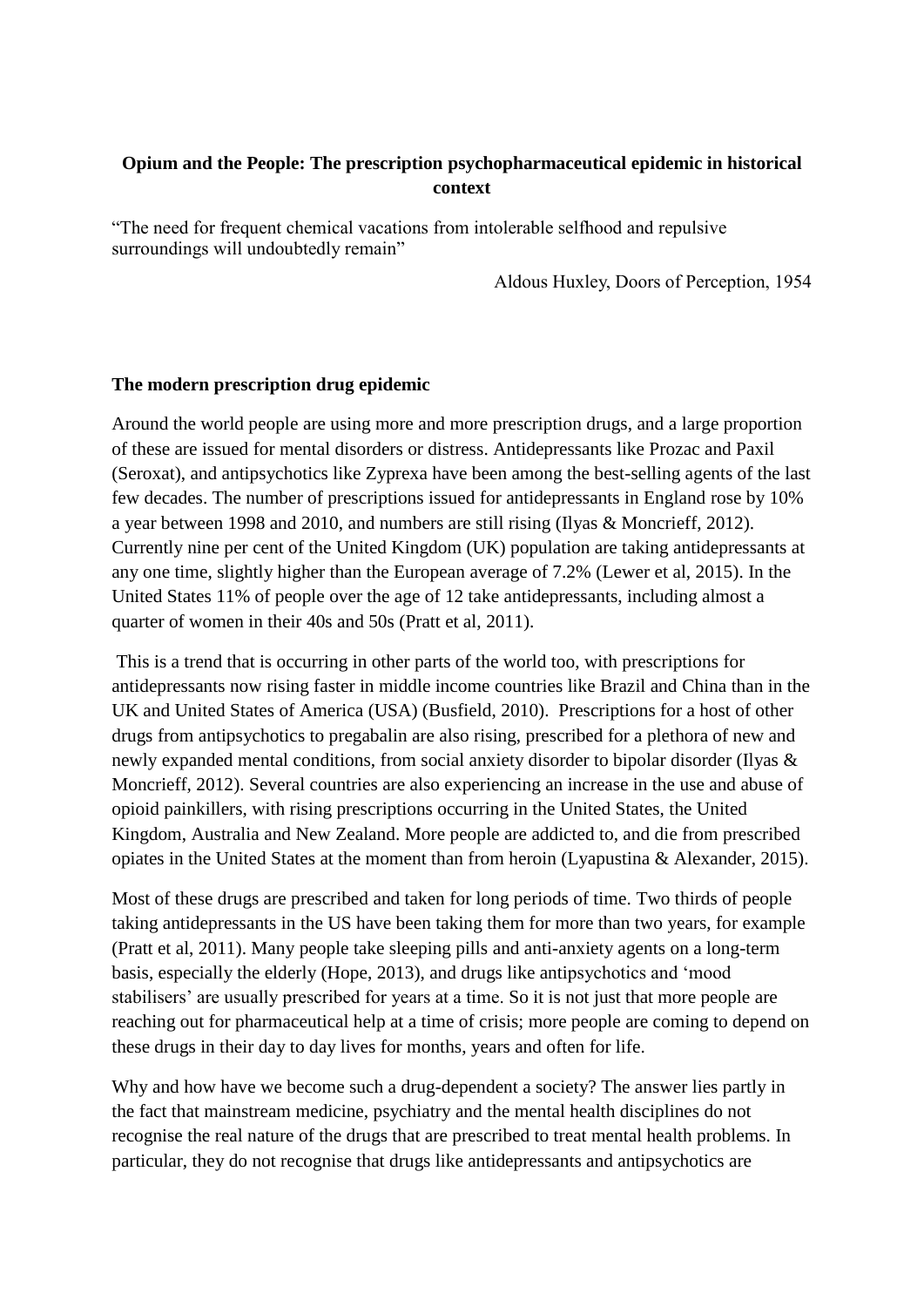# **Opium and the People: The prescription psychopharmaceutical epidemic in historical context**

"The need for frequent chemical vacations from intolerable selfhood and repulsive surroundings will undoubtedly remain"

Aldous Huxley, Doors of Perception, 1954

## **The modern prescription drug epidemic**

Around the world people are using more and more prescription drugs, and a large proportion of these are issued for mental disorders or distress. Antidepressants like Prozac and Paxil (Seroxat), and antipsychotics like Zyprexa have been among the best-selling agents of the last few decades. The number of prescriptions issued for antidepressants in England rose by 10% a year between 1998 and 2010, and numbers are still rising (Ilyas & Moncrieff, 2012). Currently nine per cent of the United Kingdom (UK) population are taking antidepressants at any one time, slightly higher than the European average of 7.2% (Lewer et al, 2015). In the United States 11% of people over the age of 12 take antidepressants, including almost a quarter of women in their 40s and 50s (Pratt et al, 2011).

This is a trend that is occurring in other parts of the world too, with prescriptions for antidepressants now rising faster in middle income countries like Brazil and China than in the UK and United States of America (USA) (Busfield, 2010). Prescriptions for a host of other drugs from antipsychotics to pregabalin are also rising, prescribed for a plethora of new and newly expanded mental conditions, from social anxiety disorder to bipolar disorder (Ilyas & Moncrieff, 2012). Several countries are also experiencing an increase in the use and abuse of opioid painkillers, with rising prescriptions occurring in the United States, the United Kingdom, Australia and New Zealand. More people are addicted to, and die from prescribed opiates in the United States at the moment than from heroin (Lyapustina & Alexander, 2015).

Most of these drugs are prescribed and taken for long periods of time. Two thirds of people taking antidepressants in the US have been taking them for more than two years, for example (Pratt et al, 2011). Many people take sleeping pills and anti-anxiety agents on a long-term basis, especially the elderly (Hope, 2013), and drugs like antipsychotics and 'mood stabilisers' are usually prescribed for years at a time. So it is not just that more people are reaching out for pharmaceutical help at a time of crisis; more people are coming to depend on these drugs in their day to day lives for months, years and often for life.

Why and how have we become such a drug-dependent a society? The answer lies partly in the fact that mainstream medicine, psychiatry and the mental health disciplines do not recognise the real nature of the drugs that are prescribed to treat mental health problems. In particular, they do not recognise that drugs like antidepressants and antipsychotics are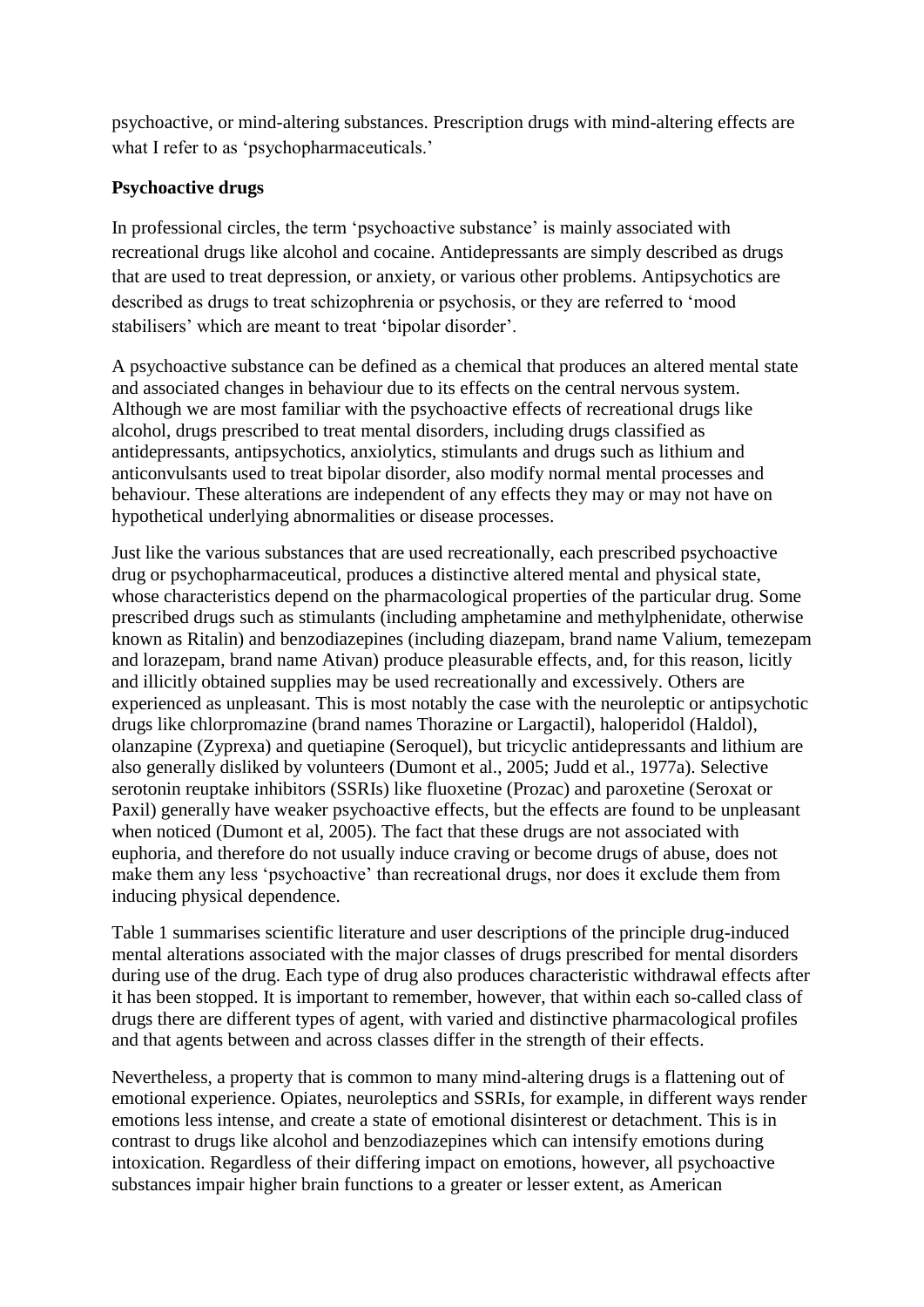psychoactive, or mind-altering substances. Prescription drugs with mind-altering effects are what I refer to as 'psychopharmaceuticals.'

# **Psychoactive drugs**

In professional circles, the term 'psychoactive substance' is mainly associated with recreational drugs like alcohol and cocaine. Antidepressants are simply described as drugs that are used to treat depression, or anxiety, or various other problems. Antipsychotics are described as drugs to treat schizophrenia or psychosis, or they are referred to 'mood stabilisers' which are meant to treat 'bipolar disorder'.

A psychoactive substance can be defined as a chemical that produces an altered mental state and associated changes in behaviour due to its effects on the central nervous system. Although we are most familiar with the psychoactive effects of recreational drugs like alcohol, drugs prescribed to treat mental disorders, including drugs classified as antidepressants, antipsychotics, anxiolytics, stimulants and drugs such as lithium and anticonvulsants used to treat bipolar disorder, also modify normal mental processes and behaviour. These alterations are independent of any effects they may or may not have on hypothetical underlying abnormalities or disease processes.

Just like the various substances that are used recreationally, each prescribed psychoactive drug or psychopharmaceutical, produces a distinctive altered mental and physical state, whose characteristics depend on the pharmacological properties of the particular drug. Some prescribed drugs such as stimulants (including amphetamine and methylphenidate, otherwise known as Ritalin) and benzodiazepines (including diazepam, brand name Valium, temezepam and lorazepam, brand name Ativan) produce pleasurable effects, and, for this reason, licitly and illicitly obtained supplies may be used recreationally and excessively. Others are experienced as unpleasant. This is most notably the case with the neuroleptic or antipsychotic drugs like chlorpromazine (brand names Thorazine or Largactil), haloperidol (Haldol), olanzapine (Zyprexa) and quetiapine (Seroquel), but tricyclic antidepressants and lithium are also generally disliked by volunteers (Dumont et al., 2005; Judd et al., 1977a). Selective serotonin reuptake inhibitors (SSRIs) like fluoxetine (Prozac) and paroxetine (Seroxat or Paxil) generally have weaker psychoactive effects, but the effects are found to be unpleasant when noticed (Dumont et al, 2005). The fact that these drugs are not associated with euphoria, and therefore do not usually induce craving or become drugs of abuse, does not make them any less 'psychoactive' than recreational drugs, nor does it exclude them from inducing physical dependence.

Table 1 summarises scientific literature and user descriptions of the principle drug-induced mental alterations associated with the major classes of drugs prescribed for mental disorders during use of the drug. Each type of drug also produces characteristic withdrawal effects after it has been stopped. It is important to remember, however, that within each so-called class of drugs there are different types of agent, with varied and distinctive pharmacological profiles and that agents between and across classes differ in the strength of their effects.

Nevertheless, a property that is common to many mind-altering drugs is a flattening out of emotional experience. Opiates, neuroleptics and SSRIs, for example, in different ways render emotions less intense, and create a state of emotional disinterest or detachment. This is in contrast to drugs like alcohol and benzodiazepines which can intensify emotions during intoxication. Regardless of their differing impact on emotions, however, all psychoactive substances impair higher brain functions to a greater or lesser extent, as American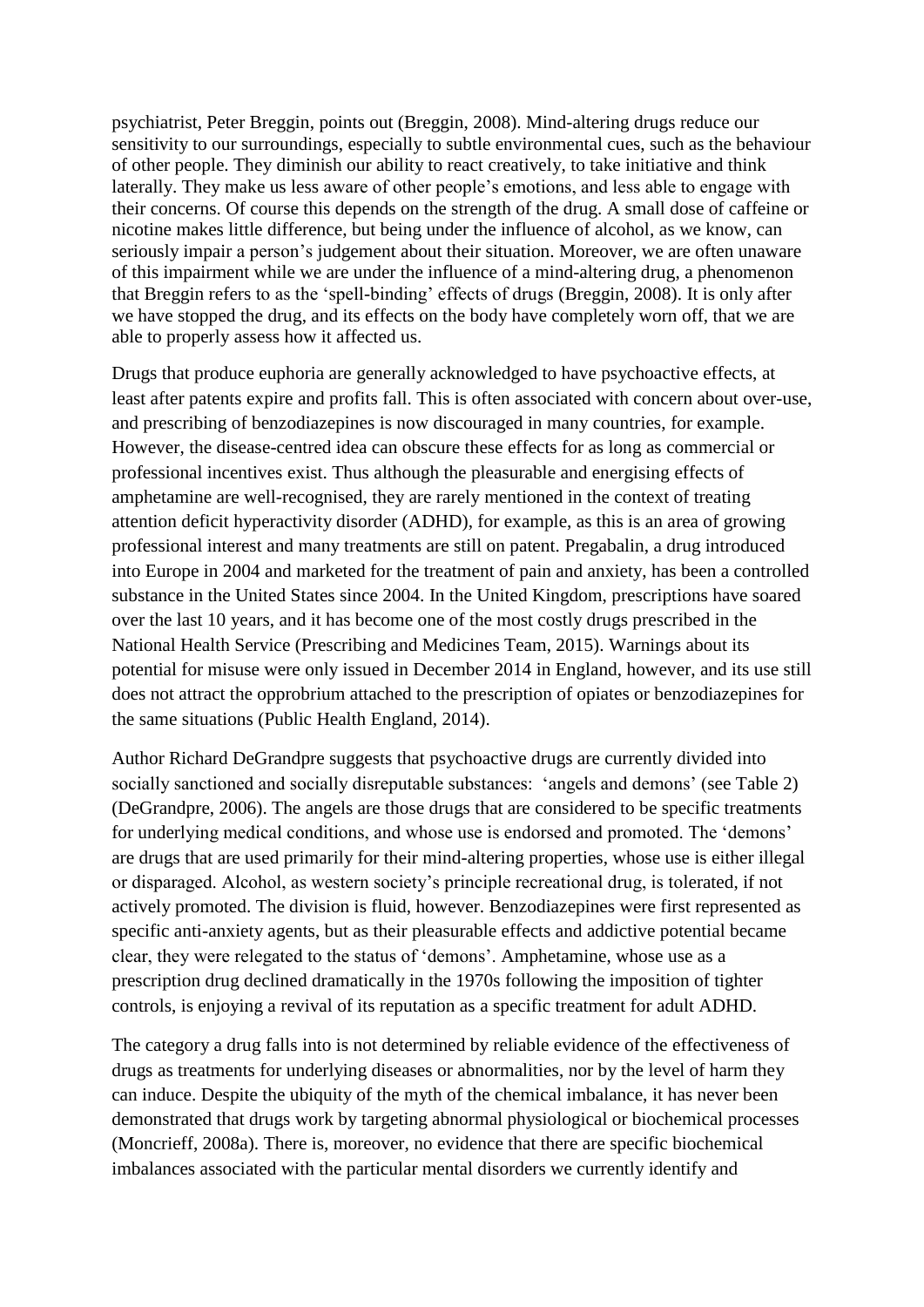psychiatrist, Peter Breggin, points out (Breggin, 2008). Mind-altering drugs reduce our sensitivity to our surroundings, especially to subtle environmental cues, such as the behaviour of other people. They diminish our ability to react creatively, to take initiative and think laterally. They make us less aware of other people's emotions, and less able to engage with their concerns. Of course this depends on the strength of the drug. A small dose of caffeine or nicotine makes little difference, but being under the influence of alcohol, as we know, can seriously impair a person's judgement about their situation. Moreover, we are often unaware of this impairment while we are under the influence of a mind-altering drug, a phenomenon that Breggin refers to as the 'spell-binding' effects of drugs (Breggin, 2008). It is only after we have stopped the drug, and its effects on the body have completely worn off, that we are able to properly assess how it affected us.

Drugs that produce euphoria are generally acknowledged to have psychoactive effects, at least after patents expire and profits fall. This is often associated with concern about over-use, and prescribing of benzodiazepines is now discouraged in many countries, for example. However, the disease-centred idea can obscure these effects for as long as commercial or professional incentives exist. Thus although the pleasurable and energising effects of amphetamine are well-recognised, they are rarely mentioned in the context of treating attention deficit hyperactivity disorder (ADHD), for example, as this is an area of growing professional interest and many treatments are still on patent. Pregabalin, a drug introduced into Europe in 2004 and marketed for the treatment of pain and anxiety, has been a controlled substance in the United States since 2004. In the United Kingdom, prescriptions have soared over the last 10 years, and it has become one of the most costly drugs prescribed in the National Health Service (Prescribing and Medicines Team, 2015). Warnings about its potential for misuse were only issued in December 2014 in England, however, and its use still does not attract the opprobrium attached to the prescription of opiates or benzodiazepines for the same situations (Public Health England, 2014).

Author Richard DeGrandpre suggests that psychoactive drugs are currently divided into socially sanctioned and socially disreputable substances: 'angels and demons' (see Table 2) (DeGrandpre, 2006). The angels are those drugs that are considered to be specific treatments for underlying medical conditions, and whose use is endorsed and promoted. The 'demons' are drugs that are used primarily for their mind-altering properties, whose use is either illegal or disparaged. Alcohol, as western society's principle recreational drug, is tolerated, if not actively promoted. The division is fluid, however. Benzodiazepines were first represented as specific anti-anxiety agents, but as their pleasurable effects and addictive potential became clear, they were relegated to the status of 'demons'. Amphetamine, whose use as a prescription drug declined dramatically in the 1970s following the imposition of tighter controls, is enjoying a revival of its reputation as a specific treatment for adult ADHD.

The category a drug falls into is not determined by reliable evidence of the effectiveness of drugs as treatments for underlying diseases or abnormalities, nor by the level of harm they can induce. Despite the ubiquity of the myth of the chemical imbalance, it has never been demonstrated that drugs work by targeting abnormal physiological or biochemical processes (Moncrieff, 2008a). There is, moreover, no evidence that there are specific biochemical imbalances associated with the particular mental disorders we currently identify and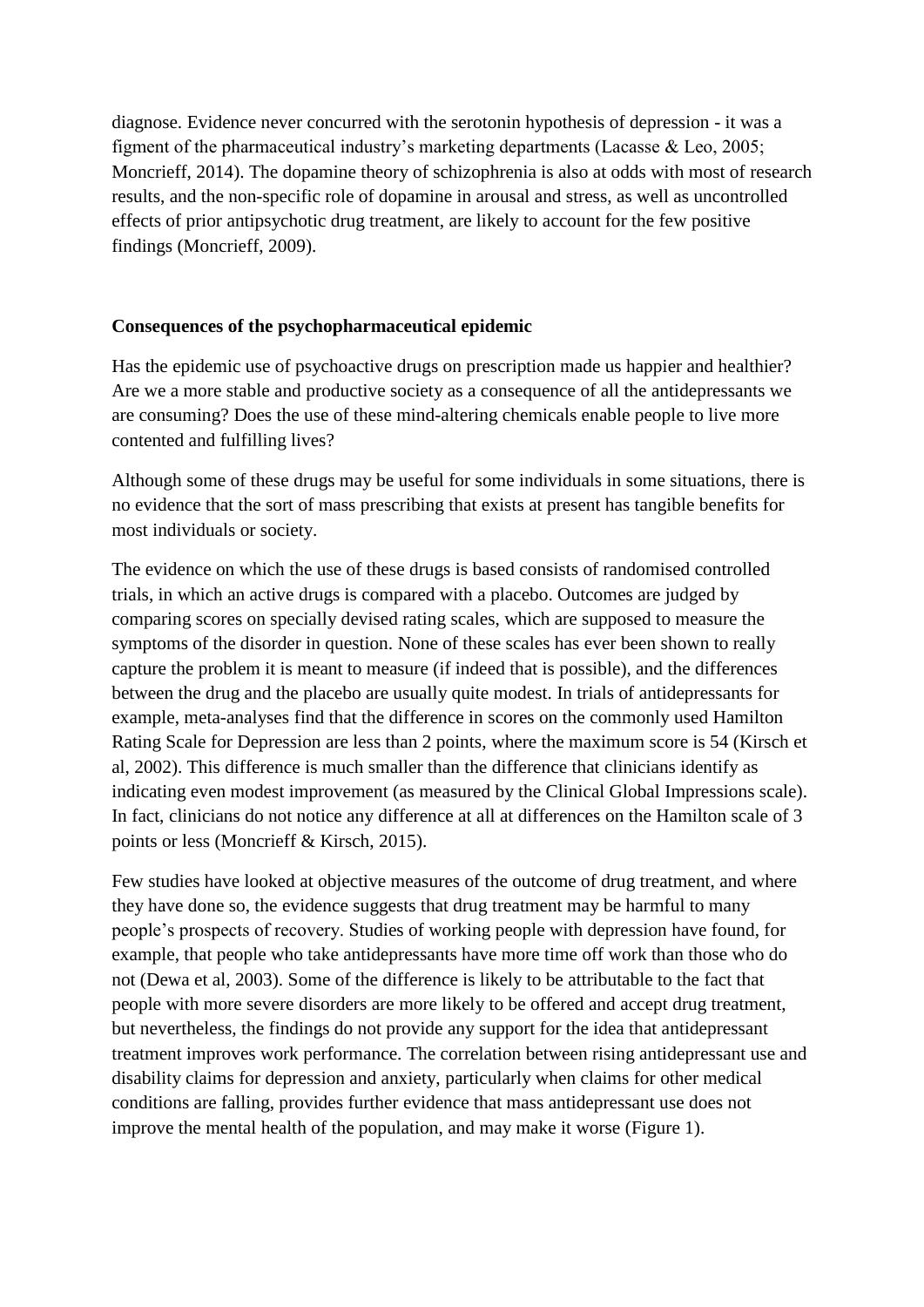diagnose. Evidence never concurred with the serotonin hypothesis of depression - it was a figment of the pharmaceutical industry's marketing departments (Lacasse & Leo, 2005; Moncrieff, 2014). The dopamine theory of schizophrenia is also at odds with most of research results, and the non-specific role of dopamine in arousal and stress, as well as uncontrolled effects of prior antipsychotic drug treatment, are likely to account for the few positive findings (Moncrieff, 2009).

# **Consequences of the psychopharmaceutical epidemic**

Has the epidemic use of psychoactive drugs on prescription made us happier and healthier? Are we a more stable and productive society as a consequence of all the antidepressants we are consuming? Does the use of these mind-altering chemicals enable people to live more contented and fulfilling lives?

Although some of these drugs may be useful for some individuals in some situations, there is no evidence that the sort of mass prescribing that exists at present has tangible benefits for most individuals or society.

The evidence on which the use of these drugs is based consists of randomised controlled trials, in which an active drugs is compared with a placebo. Outcomes are judged by comparing scores on specially devised rating scales, which are supposed to measure the symptoms of the disorder in question. None of these scales has ever been shown to really capture the problem it is meant to measure (if indeed that is possible), and the differences between the drug and the placebo are usually quite modest. In trials of antidepressants for example, meta-analyses find that the difference in scores on the commonly used Hamilton Rating Scale for Depression are less than 2 points, where the maximum score is 54 (Kirsch et al, 2002). This difference is much smaller than the difference that clinicians identify as indicating even modest improvement (as measured by the Clinical Global Impressions scale). In fact, clinicians do not notice any difference at all at differences on the Hamilton scale of 3 points or less (Moncrieff & Kirsch, 2015).

Few studies have looked at objective measures of the outcome of drug treatment, and where they have done so, the evidence suggests that drug treatment may be harmful to many people's prospects of recovery. Studies of working people with depression have found, for example, that people who take antidepressants have more time off work than those who do not (Dewa et al, 2003). Some of the difference is likely to be attributable to the fact that people with more severe disorders are more likely to be offered and accept drug treatment, but nevertheless, the findings do not provide any support for the idea that antidepressant treatment improves work performance. The correlation between rising antidepressant use and disability claims for depression and anxiety, particularly when claims for other medical conditions are falling, provides further evidence that mass antidepressant use does not improve the mental health of the population, and may make it worse (Figure 1).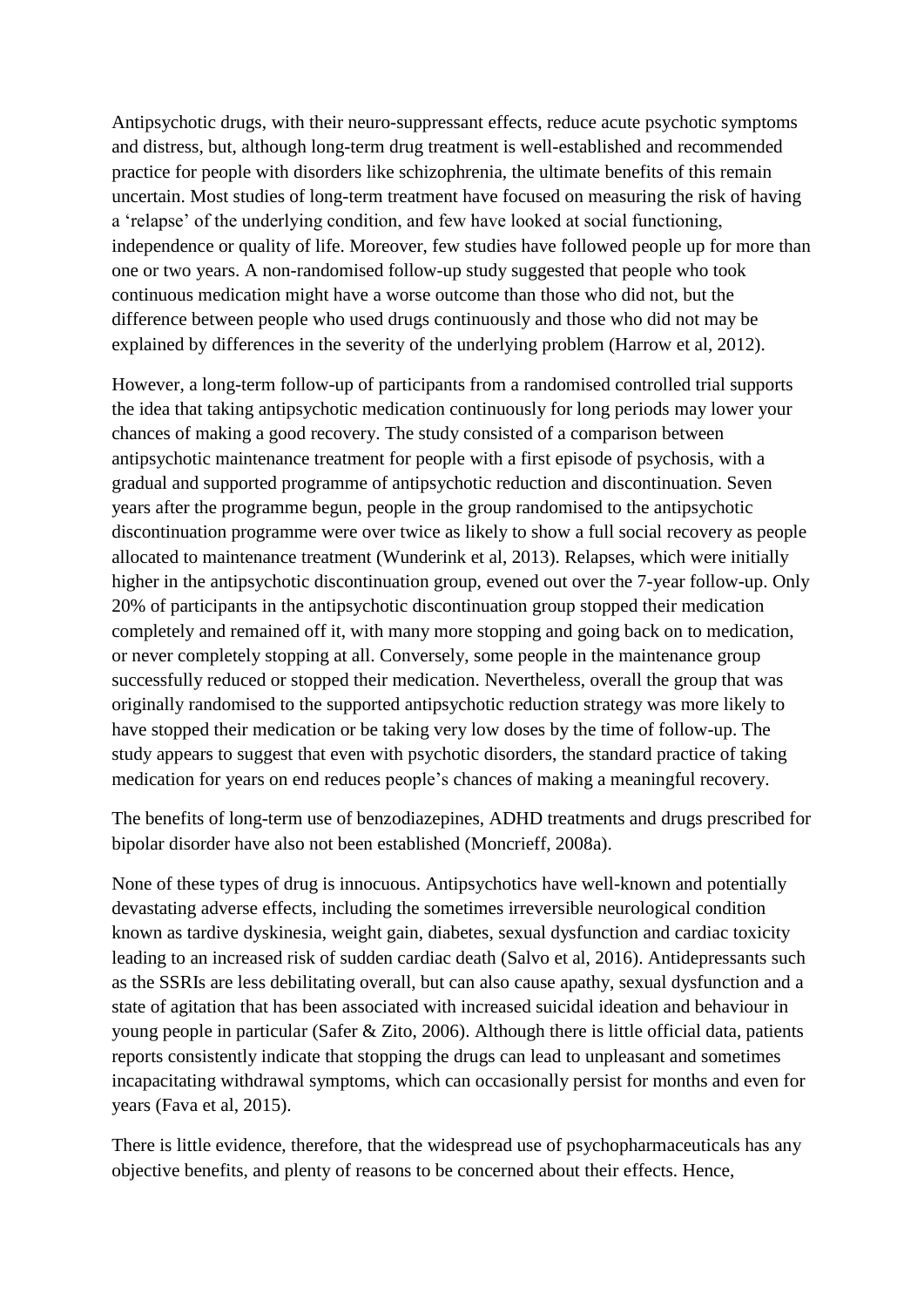Antipsychotic drugs, with their neuro-suppressant effects, reduce acute psychotic symptoms and distress, but, although long-term drug treatment is well-established and recommended practice for people with disorders like schizophrenia, the ultimate benefits of this remain uncertain. Most studies of long-term treatment have focused on measuring the risk of having a 'relapse' of the underlying condition, and few have looked at social functioning, independence or quality of life. Moreover, few studies have followed people up for more than one or two years. A non-randomised follow-up study suggested that people who took continuous medication might have a worse outcome than those who did not, but the difference between people who used drugs continuously and those who did not may be explained by differences in the severity of the underlying problem (Harrow et al, 2012).

However, a long-term follow-up of participants from a randomised controlled trial supports the idea that taking antipsychotic medication continuously for long periods may lower your chances of making a good recovery. The study consisted of a comparison between antipsychotic maintenance treatment for people with a first episode of psychosis, with a gradual and supported programme of antipsychotic reduction and discontinuation. Seven years after the programme begun, people in the group randomised to the antipsychotic discontinuation programme were over twice as likely to show a full social recovery as people allocated to maintenance treatment (Wunderink et al, 2013). Relapses, which were initially higher in the antipsychotic discontinuation group, evened out over the 7-year follow-up. Only 20% of participants in the antipsychotic discontinuation group stopped their medication completely and remained off it, with many more stopping and going back on to medication, or never completely stopping at all. Conversely, some people in the maintenance group successfully reduced or stopped their medication. Nevertheless, overall the group that was originally randomised to the supported antipsychotic reduction strategy was more likely to have stopped their medication or be taking very low doses by the time of follow-up. The study appears to suggest that even with psychotic disorders, the standard practice of taking medication for years on end reduces people's chances of making a meaningful recovery.

The benefits of long-term use of benzodiazepines, ADHD treatments and drugs prescribed for bipolar disorder have also not been established (Moncrieff, 2008a).

None of these types of drug is innocuous. Antipsychotics have well-known and potentially devastating adverse effects, including the sometimes irreversible neurological condition known as tardive dyskinesia, weight gain, diabetes, sexual dysfunction and cardiac toxicity leading to an increased risk of sudden cardiac death (Salvo et al, 2016). Antidepressants such as the SSRIs are less debilitating overall, but can also cause apathy, sexual dysfunction and a state of agitation that has been associated with increased suicidal ideation and behaviour in young people in particular (Safer & Zito, 2006). Although there is little official data, patients reports consistently indicate that stopping the drugs can lead to unpleasant and sometimes incapacitating withdrawal symptoms, which can occasionally persist for months and even for years (Fava et al, 2015).

There is little evidence, therefore, that the widespread use of psychopharmaceuticals has any objective benefits, and plenty of reasons to be concerned about their effects. Hence,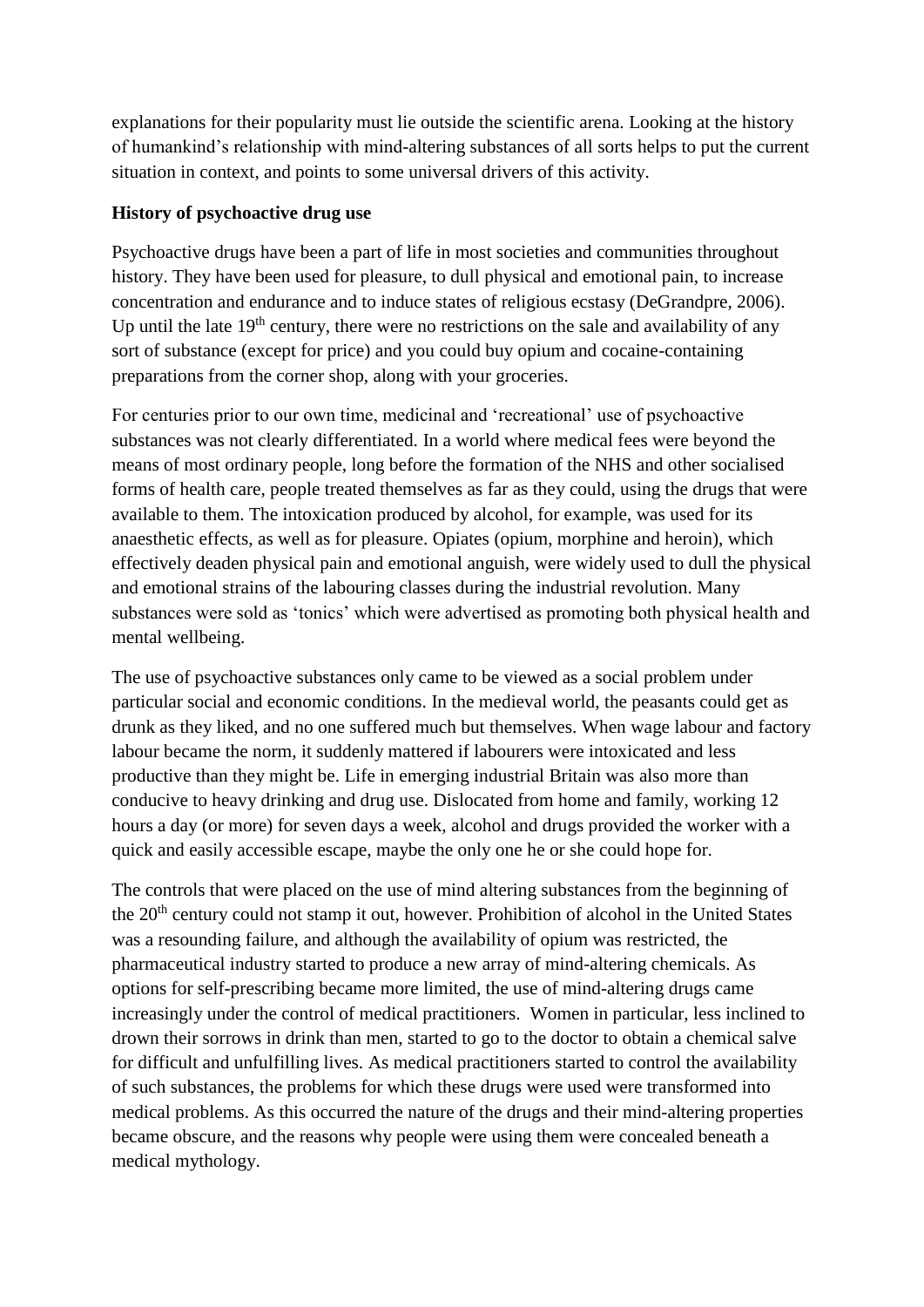explanations for their popularity must lie outside the scientific arena. Looking at the history of humankind's relationship with mind-altering substances of all sorts helps to put the current situation in context, and points to some universal drivers of this activity.

# **History of psychoactive drug use**

Psychoactive drugs have been a part of life in most societies and communities throughout history. They have been used for pleasure, to dull physical and emotional pain, to increase concentration and endurance and to induce states of religious ecstasy (DeGrandpre, 2006). Up until the late  $19<sup>th</sup>$  century, there were no restrictions on the sale and availability of any sort of substance (except for price) and you could buy opium and cocaine-containing preparations from the corner shop, along with your groceries.

For centuries prior to our own time, medicinal and 'recreational' use of psychoactive substances was not clearly differentiated. In a world where medical fees were beyond the means of most ordinary people, long before the formation of the NHS and other socialised forms of health care, people treated themselves as far as they could, using the drugs that were available to them. The intoxication produced by alcohol, for example, was used for its anaesthetic effects, as well as for pleasure. Opiates (opium, morphine and heroin), which effectively deaden physical pain and emotional anguish, were widely used to dull the physical and emotional strains of the labouring classes during the industrial revolution. Many substances were sold as 'tonics' which were advertised as promoting both physical health and mental wellbeing.

The use of psychoactive substances only came to be viewed as a social problem under particular social and economic conditions. In the medieval world, the peasants could get as drunk as they liked, and no one suffered much but themselves. When wage labour and factory labour became the norm, it suddenly mattered if labourers were intoxicated and less productive than they might be. Life in emerging industrial Britain was also more than conducive to heavy drinking and drug use. Dislocated from home and family, working 12 hours a day (or more) for seven days a week, alcohol and drugs provided the worker with a quick and easily accessible escape, maybe the only one he or she could hope for.

The controls that were placed on the use of mind altering substances from the beginning of the  $20<sup>th</sup>$  century could not stamp it out, however. Prohibition of alcohol in the United States was a resounding failure, and although the availability of opium was restricted, the pharmaceutical industry started to produce a new array of mind-altering chemicals. As options for self-prescribing became more limited, the use of mind-altering drugs came increasingly under the control of medical practitioners. Women in particular, less inclined to drown their sorrows in drink than men, started to go to the doctor to obtain a chemical salve for difficult and unfulfilling lives. As medical practitioners started to control the availability of such substances, the problems for which these drugs were used were transformed into medical problems. As this occurred the nature of the drugs and their mind-altering properties became obscure, and the reasons why people were using them were concealed beneath a medical mythology.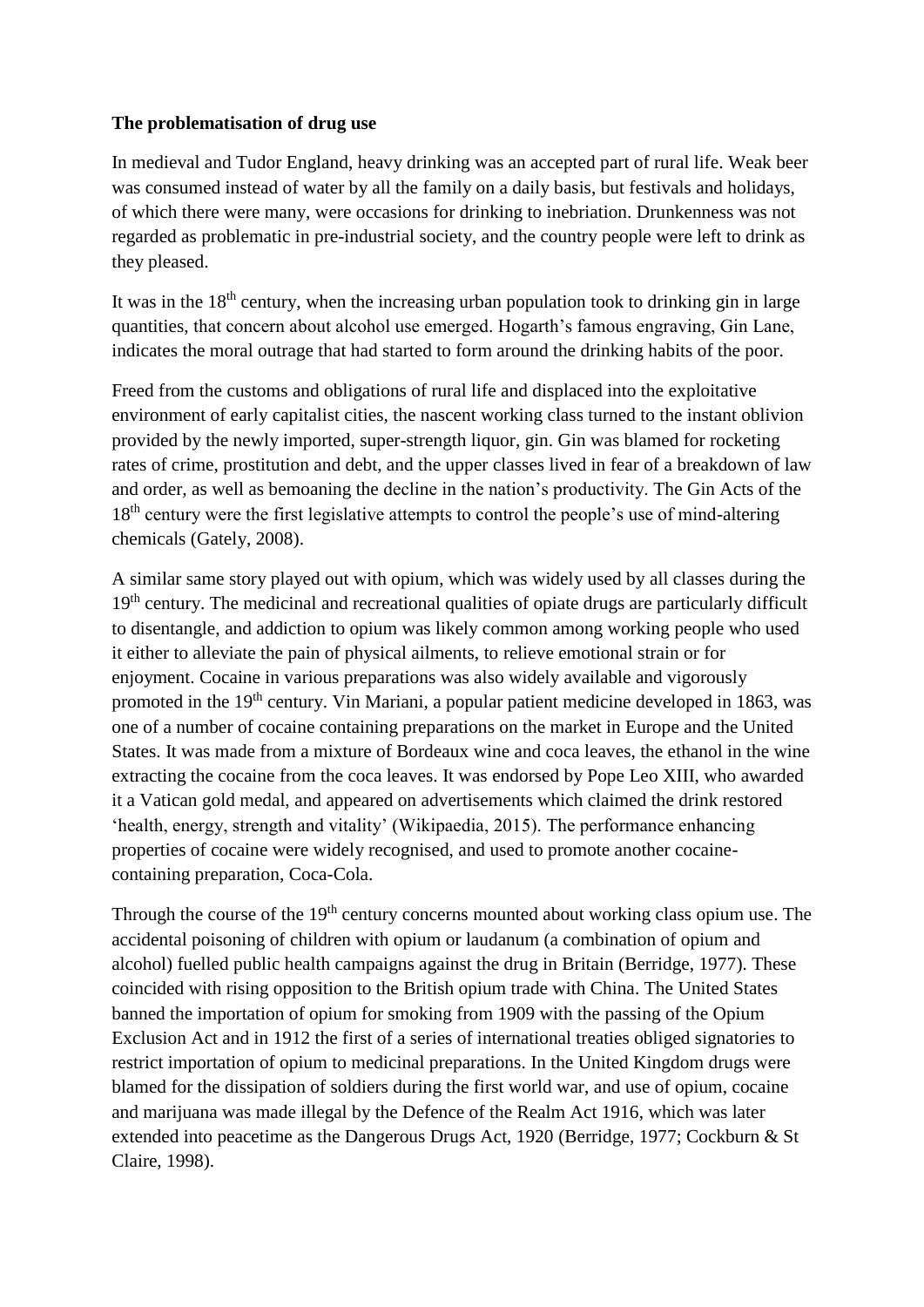# **The problematisation of drug use**

In medieval and Tudor England, heavy drinking was an accepted part of rural life. Weak beer was consumed instead of water by all the family on a daily basis, but festivals and holidays, of which there were many, were occasions for drinking to inebriation. Drunkenness was not regarded as problematic in pre-industrial society, and the country people were left to drink as they pleased.

It was in the  $18<sup>th</sup>$  century, when the increasing urban population took to drinking gin in large quantities, that concern about alcohol use emerged. Hogarth's famous engraving, Gin Lane, indicates the moral outrage that had started to form around the drinking habits of the poor.

Freed from the customs and obligations of rural life and displaced into the exploitative environment of early capitalist cities, the nascent working class turned to the instant oblivion provided by the newly imported, super-strength liquor, gin. Gin was blamed for rocketing rates of crime, prostitution and debt, and the upper classes lived in fear of a breakdown of law and order, as well as bemoaning the decline in the nation's productivity. The Gin Acts of the 18<sup>th</sup> century were the first legislative attempts to control the people's use of mind-altering chemicals (Gately, 2008).

A similar same story played out with opium, which was widely used by all classes during the 19<sup>th</sup> century. The medicinal and recreational qualities of opiate drugs are particularly difficult to disentangle, and addiction to opium was likely common among working people who used it either to alleviate the pain of physical ailments, to relieve emotional strain or for enjoyment. Cocaine in various preparations was also widely available and vigorously promoted in the 19<sup>th</sup> century. Vin Mariani, a popular patient medicine developed in 1863, was one of a number of cocaine containing preparations on the market in Europe and the United States. It was made from a mixture of Bordeaux wine and coca leaves, the ethanol in the wine extracting the cocaine from the coca leaves. It was endorsed by Pope Leo XIII, who awarded it a Vatican gold medal, and appeared on advertisements which claimed the drink restored 'health, energy, strength and vitality' (Wikipaedia, 2015). The performance enhancing properties of cocaine were widely recognised, and used to promote another cocainecontaining preparation, Coca-Cola.

Through the course of the  $19<sup>th</sup>$  century concerns mounted about working class opium use. The accidental poisoning of children with opium or laudanum (a combination of opium and alcohol) fuelled public health campaigns against the drug in Britain (Berridge, 1977). These coincided with rising opposition to the British opium trade with China. The United States banned the importation of opium for smoking from 1909 with the passing of the Opium Exclusion Act and in 1912 the first of a series of international treaties obliged signatories to restrict importation of opium to medicinal preparations. In the United Kingdom drugs were blamed for the dissipation of soldiers during the first world war, and use of opium, cocaine and marijuana was made illegal by the Defence of the Realm Act 1916, which was later extended into peacetime as the Dangerous Drugs Act, 1920 (Berridge, 1977; Cockburn & St Claire, 1998).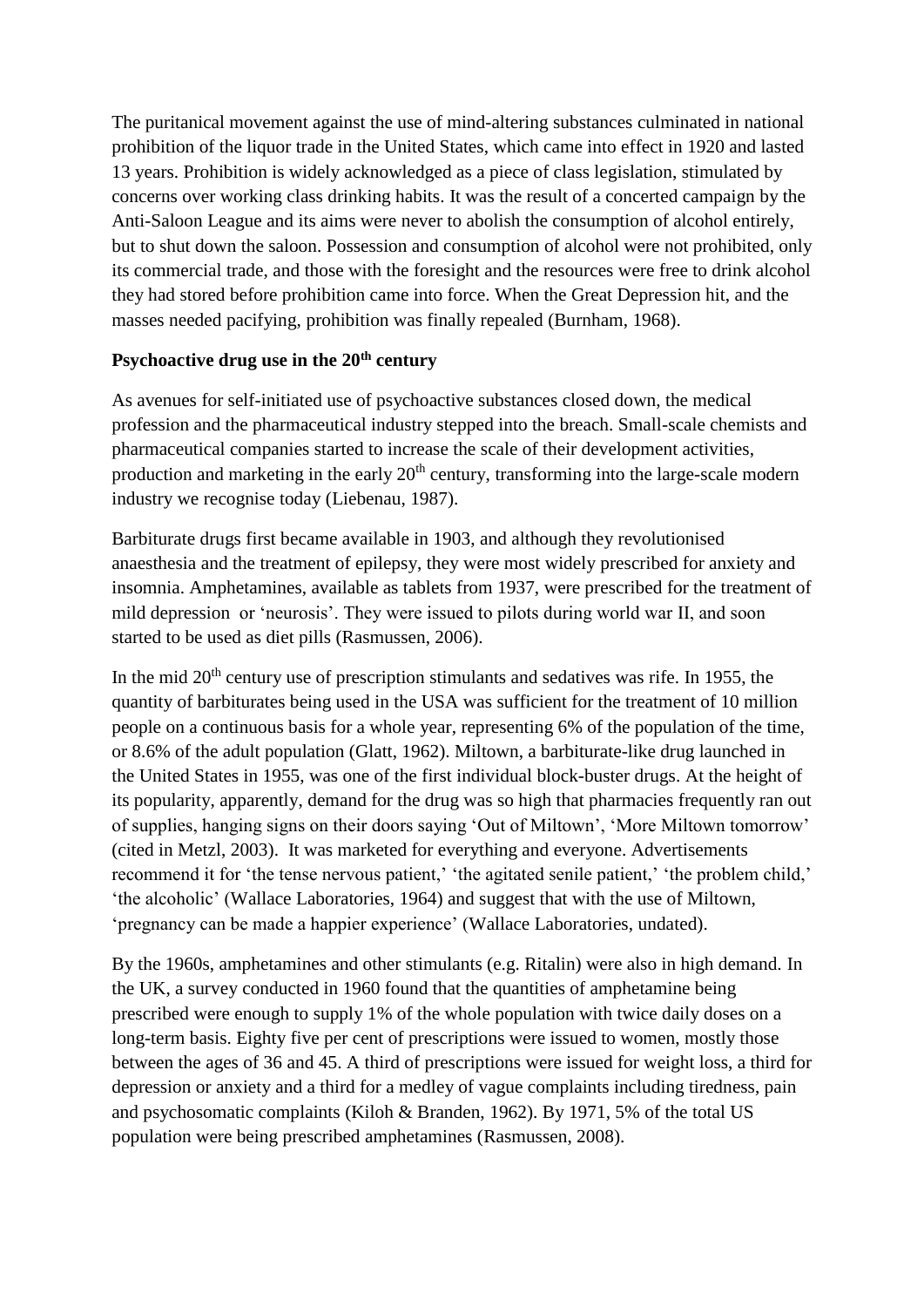The puritanical movement against the use of mind-altering substances culminated in national prohibition of the liquor trade in the United States, which came into effect in 1920 and lasted 13 years. Prohibition is widely acknowledged as a piece of class legislation, stimulated by concerns over working class drinking habits. It was the result of a concerted campaign by the Anti-Saloon League and its aims were never to abolish the consumption of alcohol entirely, but to shut down the saloon. Possession and consumption of alcohol were not prohibited, only its commercial trade, and those with the foresight and the resources were free to drink alcohol they had stored before prohibition came into force. When the Great Depression hit, and the masses needed pacifying, prohibition was finally repealed (Burnham, 1968).

# **Psychoactive drug use in the 20th century**

As avenues for self-initiated use of psychoactive substances closed down, the medical profession and the pharmaceutical industry stepped into the breach. Small-scale chemists and pharmaceutical companies started to increase the scale of their development activities, production and marketing in the early  $20<sup>th</sup>$  century, transforming into the large-scale modern industry we recognise today (Liebenau, 1987).

Barbiturate drugs first became available in 1903, and although they revolutionised anaesthesia and the treatment of epilepsy, they were most widely prescribed for anxiety and insomnia. Amphetamines, available as tablets from 1937, were prescribed for the treatment of mild depression or 'neurosis'. They were issued to pilots during world war II, and soon started to be used as diet pills (Rasmussen, 2006).

In the mid  $20<sup>th</sup>$  century use of prescription stimulants and sedatives was rife. In 1955, the quantity of barbiturates being used in the USA was sufficient for the treatment of 10 million people on a continuous basis for a whole year, representing 6% of the population of the time, or 8.6% of the adult population (Glatt, 1962). Miltown, a barbiturate-like drug launched in the United States in 1955, was one of the first individual block-buster drugs. At the height of its popularity, apparently, demand for the drug was so high that pharmacies frequently ran out of supplies, hanging signs on their doors saying 'Out of Miltown', 'More Miltown tomorrow' (cited in Metzl, 2003). It was marketed for everything and everyone. Advertisements recommend it for 'the tense nervous patient,' 'the agitated senile patient,' 'the problem child,' 'the alcoholic' (Wallace Laboratories, 1964) and suggest that with the use of Miltown, 'pregnancy can be made a happier experience' (Wallace Laboratories, undated).

By the 1960s, amphetamines and other stimulants (e.g. Ritalin) were also in high demand. In the UK, a survey conducted in 1960 found that the quantities of amphetamine being prescribed were enough to supply 1% of the whole population with twice daily doses on a long-term basis. Eighty five per cent of prescriptions were issued to women, mostly those between the ages of 36 and 45. A third of prescriptions were issued for weight loss, a third for depression or anxiety and a third for a medley of vague complaints including tiredness, pain and psychosomatic complaints (Kiloh & Branden, 1962). By 1971, 5% of the total US population were being prescribed amphetamines (Rasmussen, 2008).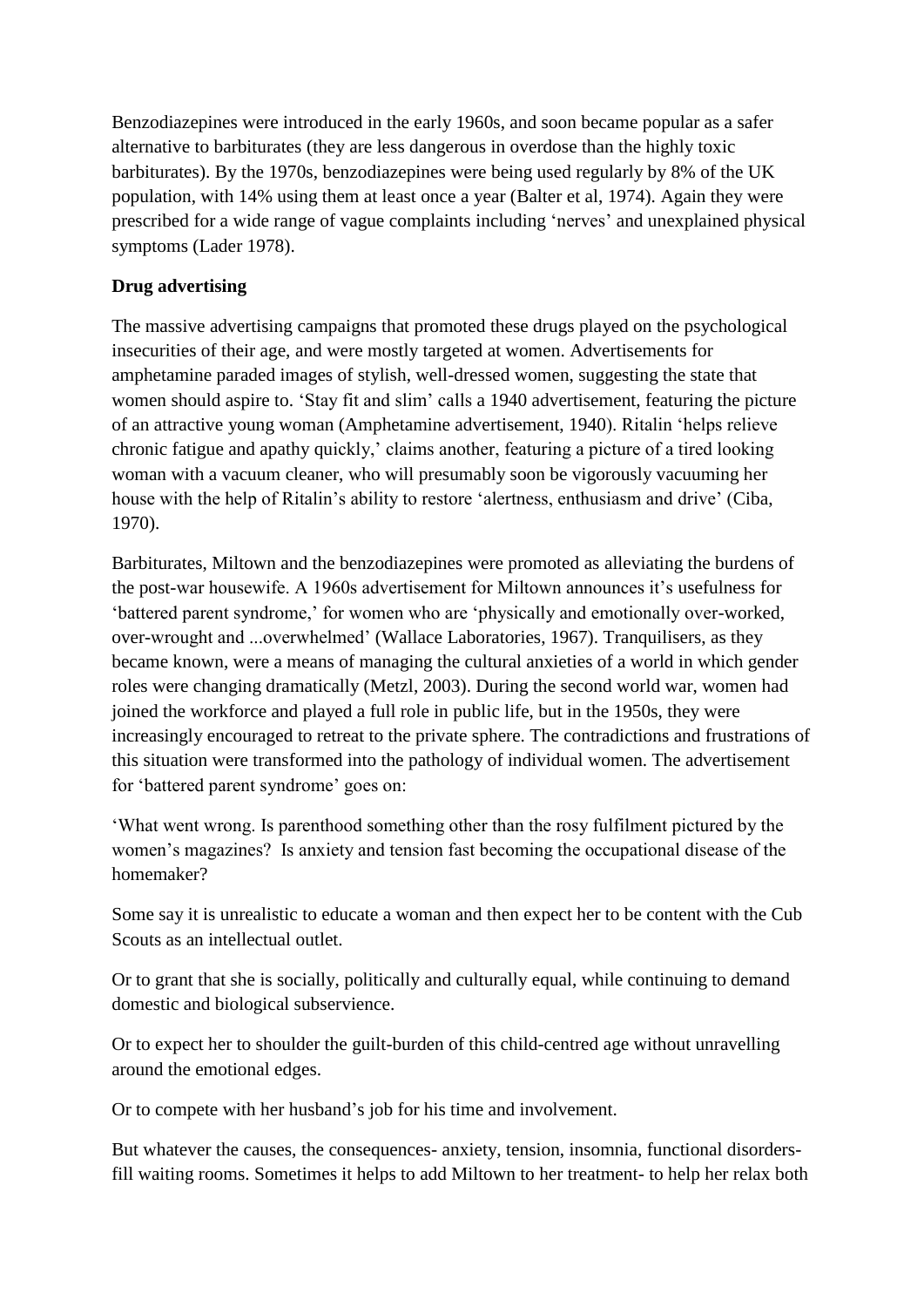Benzodiazepines were introduced in the early 1960s, and soon became popular as a safer alternative to barbiturates (they are less dangerous in overdose than the highly toxic barbiturates). By the 1970s, benzodiazepines were being used regularly by 8% of the UK population, with 14% using them at least once a year (Balter et al, 1974). Again they were prescribed for a wide range of vague complaints including 'nerves' and unexplained physical symptoms (Lader 1978).

# **Drug advertising**

The massive advertising campaigns that promoted these drugs played on the psychological insecurities of their age, and were mostly targeted at women. Advertisements for amphetamine paraded images of stylish, well-dressed women, suggesting the state that women should aspire to. 'Stay fit and slim' calls a 1940 advertisement, featuring the picture of an attractive young woman (Amphetamine advertisement, 1940). Ritalin 'helps relieve chronic fatigue and apathy quickly,' claims another, featuring a picture of a tired looking woman with a vacuum cleaner, who will presumably soon be vigorously vacuuming her house with the help of Ritalin's ability to restore 'alertness, enthusiasm and drive' (Ciba, 1970).

Barbiturates, Miltown and the benzodiazepines were promoted as alleviating the burdens of the post-war housewife. A 1960s advertisement for Miltown announces it's usefulness for 'battered parent syndrome,' for women who are 'physically and emotionally over-worked, over-wrought and ...overwhelmed' (Wallace Laboratories, 1967). Tranquilisers, as they became known, were a means of managing the cultural anxieties of a world in which gender roles were changing dramatically (Metzl, 2003). During the second world war, women had joined the workforce and played a full role in public life, but in the 1950s, they were increasingly encouraged to retreat to the private sphere. The contradictions and frustrations of this situation were transformed into the pathology of individual women. The advertisement for 'battered parent syndrome' goes on:

'What went wrong. Is parenthood something other than the rosy fulfilment pictured by the women's magazines? Is anxiety and tension fast becoming the occupational disease of the homemaker?

Some say it is unrealistic to educate a woman and then expect her to be content with the Cub Scouts as an intellectual outlet.

Or to grant that she is socially, politically and culturally equal, while continuing to demand domestic and biological subservience.

Or to expect her to shoulder the guilt-burden of this child-centred age without unravelling around the emotional edges.

Or to compete with her husband's job for his time and involvement.

But whatever the causes, the consequences- anxiety, tension, insomnia, functional disordersfill waiting rooms. Sometimes it helps to add Miltown to her treatment- to help her relax both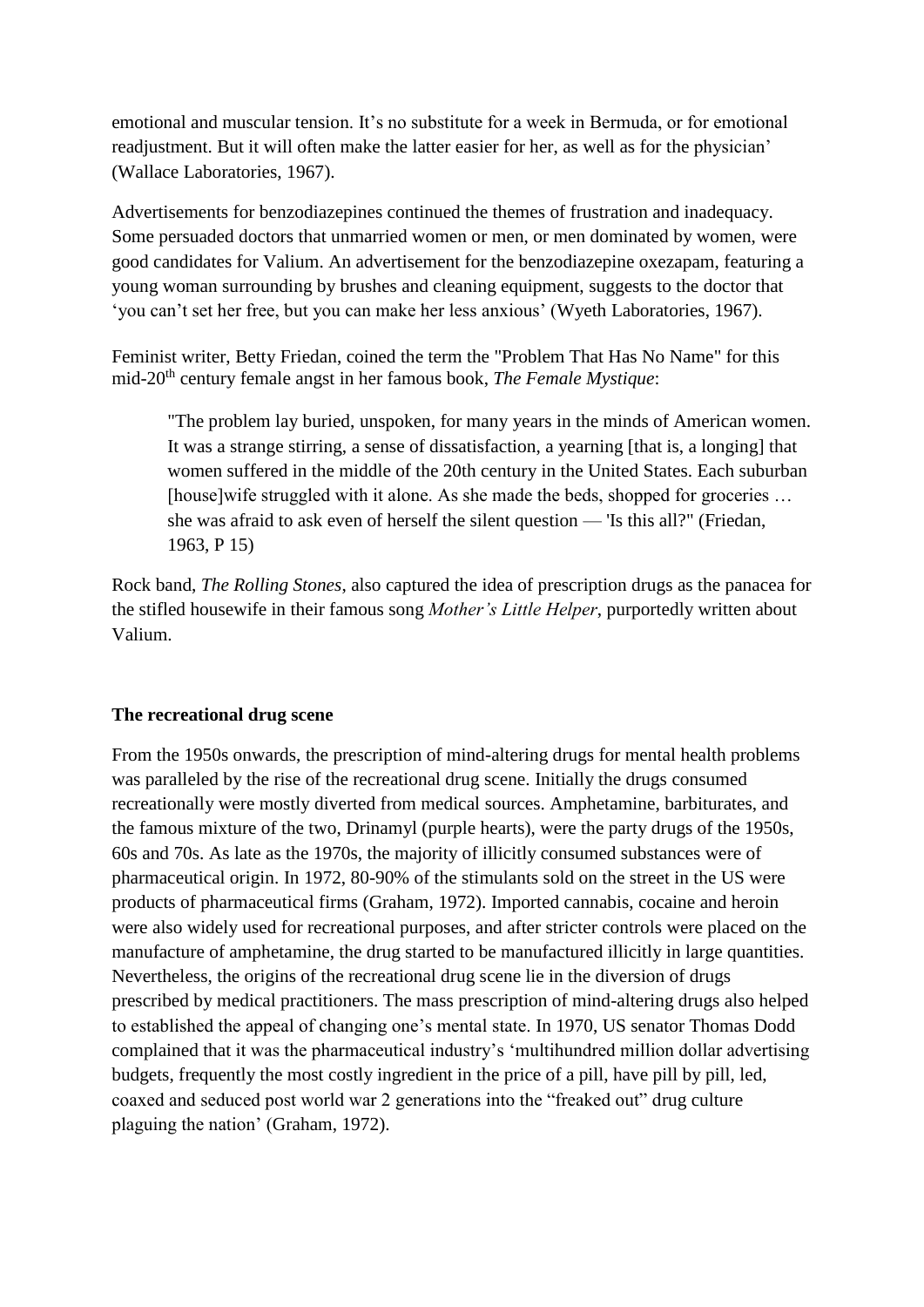emotional and muscular tension. It's no substitute for a week in Bermuda, or for emotional readjustment. But it will often make the latter easier for her, as well as for the physician' (Wallace Laboratories, 1967).

Advertisements for benzodiazepines continued the themes of frustration and inadequacy. Some persuaded doctors that unmarried women or men, or men dominated by women, were good candidates for Valium. An advertisement for the benzodiazepine oxezapam, featuring a young woman surrounding by brushes and cleaning equipment, suggests to the doctor that 'you can't set her free, but you can make her less anxious' (Wyeth Laboratories, 1967).

Feminist writer, Betty Friedan, coined the term the "Problem That Has No Name" for this mid-20th century female angst in her famous book, *The Female Mystique*:

"The problem lay buried, unspoken, for many years in the minds of American women. It was a strange stirring, a sense of dissatisfaction, a yearning [that is, a longing] that women suffered in the middle of the 20th century in the United States. Each suburban [house]wife struggled with it alone. As she made the beds, shopped for groceries ... she was afraid to ask even of herself the silent question — 'Is this all?" (Friedan, 1963, P 15)

Rock band, *The Rolling Stones*, also captured the idea of prescription drugs as the panacea for the stifled housewife in their famous song *Mother's Little Helper*, purportedly written about Valium.

## **The recreational drug scene**

From the 1950s onwards, the prescription of mind-altering drugs for mental health problems was paralleled by the rise of the recreational drug scene. Initially the drugs consumed recreationally were mostly diverted from medical sources. Amphetamine, barbiturates, and the famous mixture of the two, Drinamyl (purple hearts), were the party drugs of the 1950s, 60s and 70s. As late as the 1970s, the majority of illicitly consumed substances were of pharmaceutical origin. In 1972, 80-90% of the stimulants sold on the street in the US were products of pharmaceutical firms (Graham, 1972). Imported cannabis, cocaine and heroin were also widely used for recreational purposes, and after stricter controls were placed on the manufacture of amphetamine, the drug started to be manufactured illicitly in large quantities. Nevertheless, the origins of the recreational drug scene lie in the diversion of drugs prescribed by medical practitioners. The mass prescription of mind-altering drugs also helped to established the appeal of changing one's mental state. In 1970, US senator Thomas Dodd complained that it was the pharmaceutical industry's 'multihundred million dollar advertising budgets, frequently the most costly ingredient in the price of a pill, have pill by pill, led, coaxed and seduced post world war 2 generations into the "freaked out" drug culture plaguing the nation' (Graham, 1972).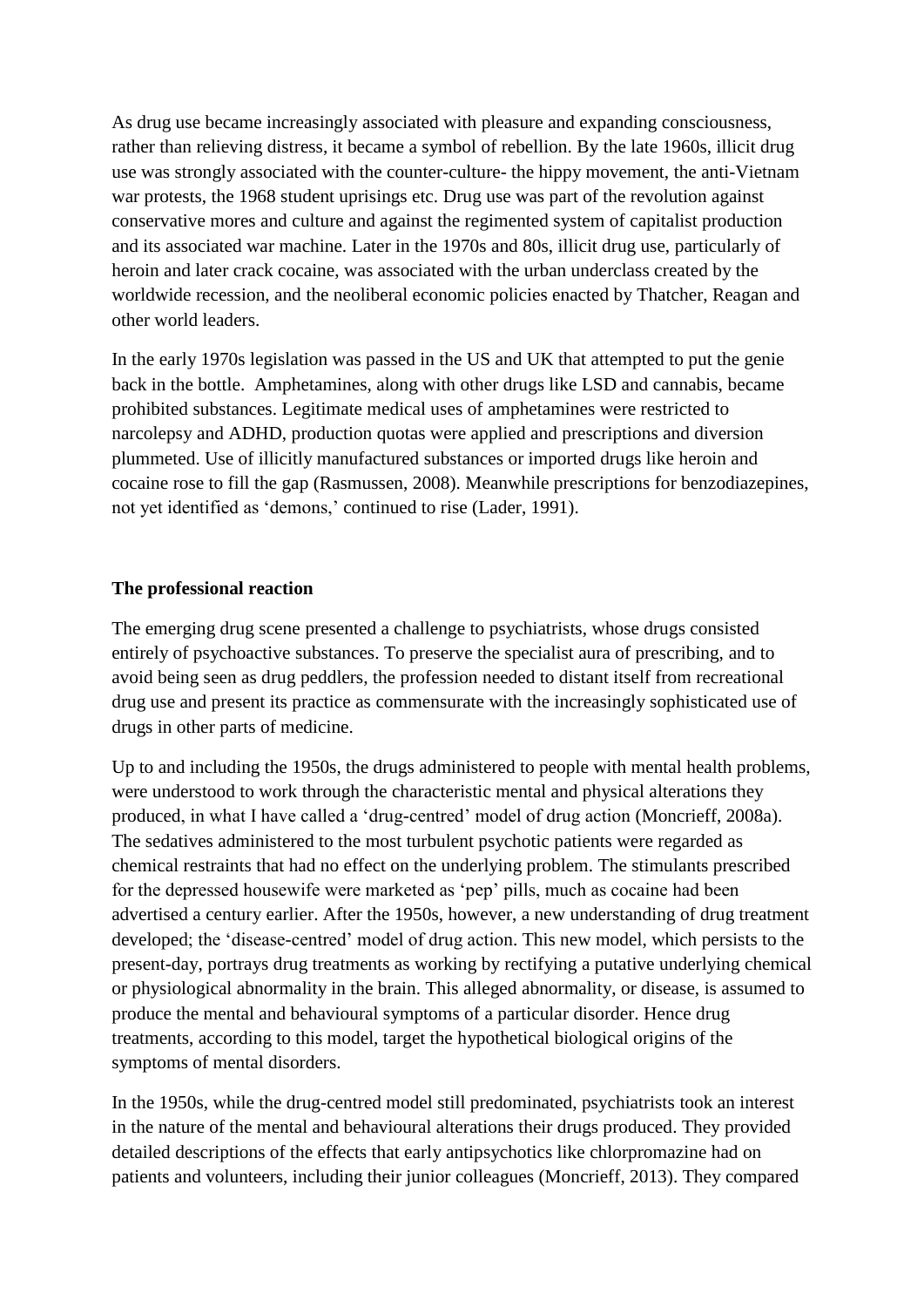As drug use became increasingly associated with pleasure and expanding consciousness, rather than relieving distress, it became a symbol of rebellion. By the late 1960s, illicit drug use was strongly associated with the counter-culture- the hippy movement, the anti-Vietnam war protests, the 1968 student uprisings etc. Drug use was part of the revolution against conservative mores and culture and against the regimented system of capitalist production and its associated war machine. Later in the 1970s and 80s, illicit drug use, particularly of heroin and later crack cocaine, was associated with the urban underclass created by the worldwide recession, and the neoliberal economic policies enacted by Thatcher, Reagan and other world leaders.

In the early 1970s legislation was passed in the US and UK that attempted to put the genie back in the bottle. Amphetamines, along with other drugs like LSD and cannabis, became prohibited substances. Legitimate medical uses of amphetamines were restricted to narcolepsy and ADHD, production quotas were applied and prescriptions and diversion plummeted. Use of illicitly manufactured substances or imported drugs like heroin and cocaine rose to fill the gap (Rasmussen, 2008). Meanwhile prescriptions for benzodiazepines, not yet identified as 'demons,' continued to rise (Lader, 1991).

# **The professional reaction**

The emerging drug scene presented a challenge to psychiatrists, whose drugs consisted entirely of psychoactive substances. To preserve the specialist aura of prescribing, and to avoid being seen as drug peddlers, the profession needed to distant itself from recreational drug use and present its practice as commensurate with the increasingly sophisticated use of drugs in other parts of medicine.

Up to and including the 1950s, the drugs administered to people with mental health problems, were understood to work through the characteristic mental and physical alterations they produced, in what I have called a 'drug-centred' model of drug action (Moncrieff, 2008a). The sedatives administered to the most turbulent psychotic patients were regarded as chemical restraints that had no effect on the underlying problem. The stimulants prescribed for the depressed housewife were marketed as 'pep' pills, much as cocaine had been advertised a century earlier. After the 1950s, however, a new understanding of drug treatment developed; the 'disease-centred' model of drug action. This new model, which persists to the present-day, portrays drug treatments as working by rectifying a putative underlying chemical or physiological abnormality in the brain. This alleged abnormality, or disease, is assumed to produce the mental and behavioural symptoms of a particular disorder. Hence drug treatments, according to this model, target the hypothetical biological origins of the symptoms of mental disorders.

In the 1950s, while the drug-centred model still predominated, psychiatrists took an interest in the nature of the mental and behavioural alterations their drugs produced. They provided detailed descriptions of the effects that early antipsychotics like chlorpromazine had on patients and volunteers, including their junior colleagues (Moncrieff, 2013). They compared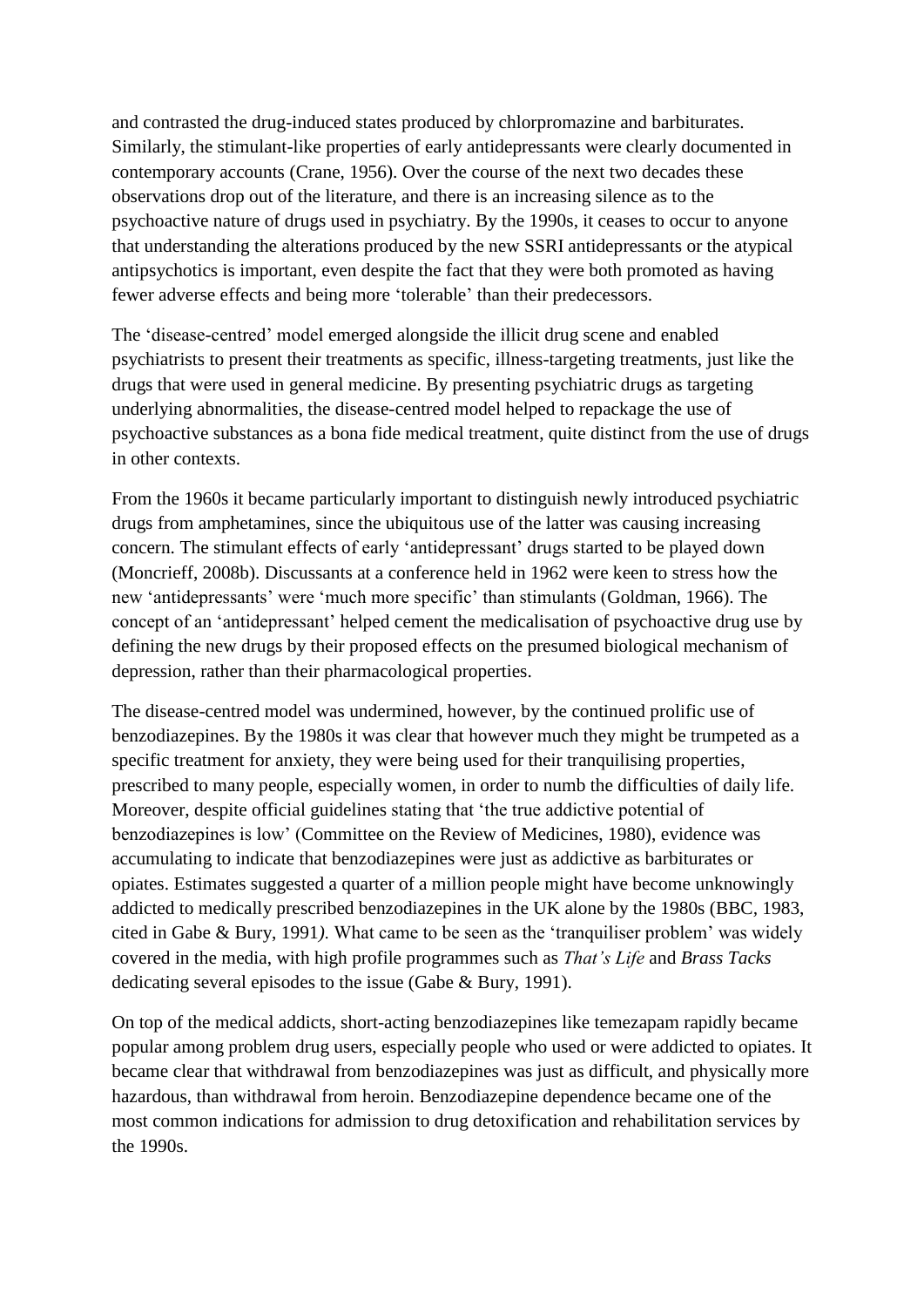and contrasted the drug-induced states produced by chlorpromazine and barbiturates. Similarly, the stimulant-like properties of early antidepressants were clearly documented in contemporary accounts (Crane, 1956). Over the course of the next two decades these observations drop out of the literature, and there is an increasing silence as to the psychoactive nature of drugs used in psychiatry. By the 1990s, it ceases to occur to anyone that understanding the alterations produced by the new SSRI antidepressants or the atypical antipsychotics is important, even despite the fact that they were both promoted as having fewer adverse effects and being more 'tolerable' than their predecessors.

The 'disease-centred' model emerged alongside the illicit drug scene and enabled psychiatrists to present their treatments as specific, illness-targeting treatments, just like the drugs that were used in general medicine. By presenting psychiatric drugs as targeting underlying abnormalities, the disease-centred model helped to repackage the use of psychoactive substances as a bona fide medical treatment, quite distinct from the use of drugs in other contexts.

From the 1960s it became particularly important to distinguish newly introduced psychiatric drugs from amphetamines, since the ubiquitous use of the latter was causing increasing concern. The stimulant effects of early 'antidepressant' drugs started to be played down (Moncrieff, 2008b). Discussants at a conference held in 1962 were keen to stress how the new 'antidepressants' were 'much more specific' than stimulants (Goldman, 1966). The concept of an 'antidepressant' helped cement the medicalisation of psychoactive drug use by defining the new drugs by their proposed effects on the presumed biological mechanism of depression, rather than their pharmacological properties.

The disease-centred model was undermined, however, by the continued prolific use of benzodiazepines. By the 1980s it was clear that however much they might be trumpeted as a specific treatment for anxiety, they were being used for their tranquilising properties, prescribed to many people, especially women, in order to numb the difficulties of daily life. Moreover, despite official guidelines stating that 'the true addictive potential of benzodiazepines is low' (Committee on the Review of Medicines, 1980), evidence was accumulating to indicate that benzodiazepines were just as addictive as barbiturates or opiates. Estimates suggested a quarter of a million people might have become unknowingly addicted to medically prescribed benzodiazepines in the UK alone by the 1980s (BBC*,* 1983, cited in Gabe & Bury, 1991*)*. What came to be seen as the 'tranquiliser problem' was widely covered in the media, with high profile programmes such as *That's Life* and *Brass Tacks* dedicating several episodes to the issue (Gabe & Bury, 1991).

On top of the medical addicts, short-acting benzodiazepines like temezapam rapidly became popular among problem drug users, especially people who used or were addicted to opiates. It became clear that withdrawal from benzodiazepines was just as difficult, and physically more hazardous, than withdrawal from heroin. Benzodiazepine dependence became one of the most common indications for admission to drug detoxification and rehabilitation services by the 1990s.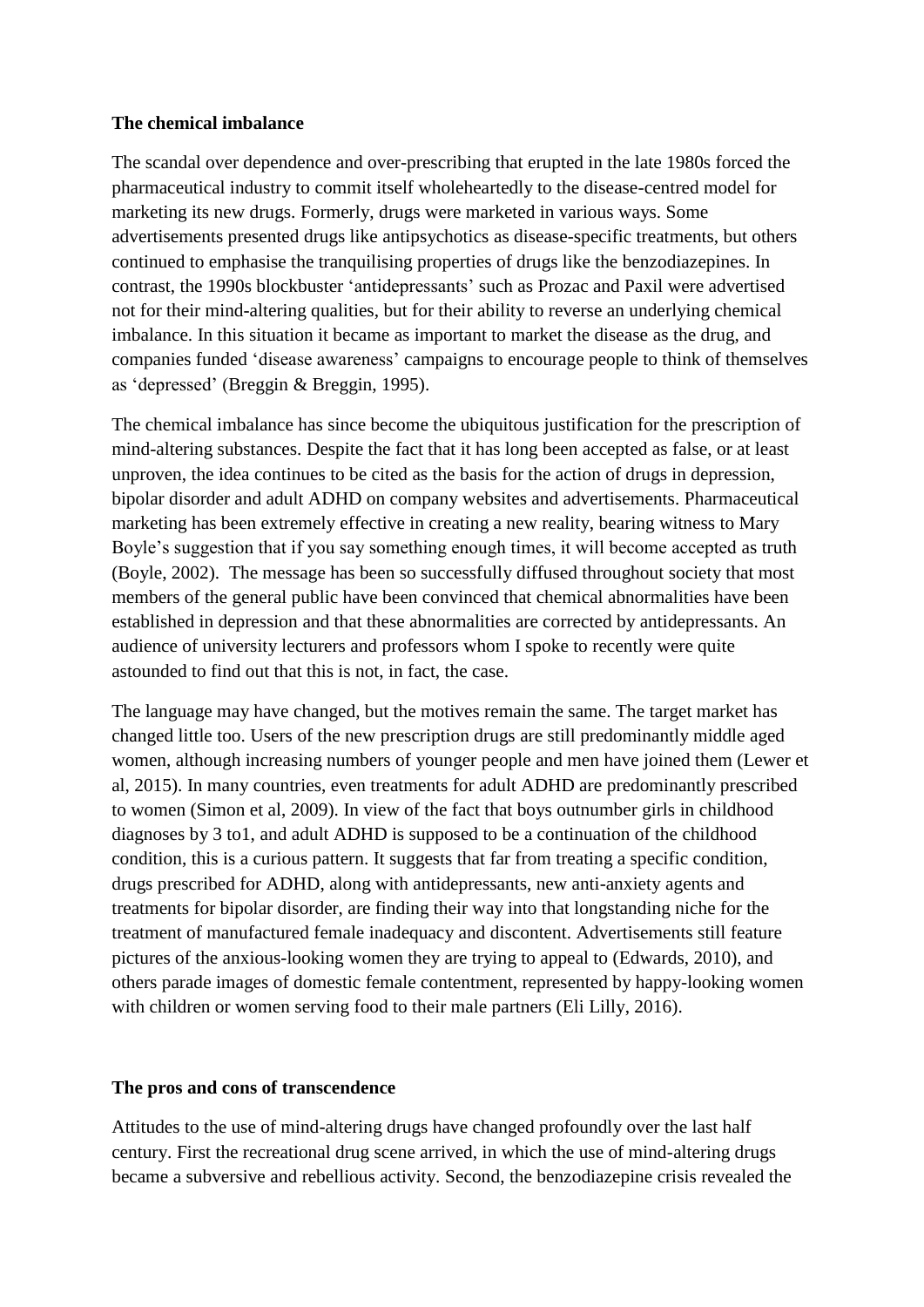## **The chemical imbalance**

The scandal over dependence and over-prescribing that erupted in the late 1980s forced the pharmaceutical industry to commit itself wholeheartedly to the disease-centred model for marketing its new drugs. Formerly, drugs were marketed in various ways. Some advertisements presented drugs like antipsychotics as disease-specific treatments, but others continued to emphasise the tranquilising properties of drugs like the benzodiazepines. In contrast, the 1990s blockbuster 'antidepressants' such as Prozac and Paxil were advertised not for their mind-altering qualities, but for their ability to reverse an underlying chemical imbalance. In this situation it became as important to market the disease as the drug, and companies funded 'disease awareness' campaigns to encourage people to think of themselves as 'depressed' (Breggin & Breggin, 1995).

The chemical imbalance has since become the ubiquitous justification for the prescription of mind-altering substances. Despite the fact that it has long been accepted as false, or at least unproven, the idea continues to be cited as the basis for the action of drugs in depression, bipolar disorder and adult ADHD on company websites and advertisements. Pharmaceutical marketing has been extremely effective in creating a new reality, bearing witness to Mary Boyle's suggestion that if you say something enough times, it will become accepted as truth (Boyle, 2002). The message has been so successfully diffused throughout society that most members of the general public have been convinced that chemical abnormalities have been established in depression and that these abnormalities are corrected by antidepressants. An audience of university lecturers and professors whom I spoke to recently were quite astounded to find out that this is not, in fact, the case.

The language may have changed, but the motives remain the same. The target market has changed little too. Users of the new prescription drugs are still predominantly middle aged women, although increasing numbers of younger people and men have joined them (Lewer et al, 2015). In many countries, even treatments for adult ADHD are predominantly prescribed to women (Simon et al, 2009). In view of the fact that boys outnumber girls in childhood diagnoses by 3 to1, and adult ADHD is supposed to be a continuation of the childhood condition, this is a curious pattern. It suggests that far from treating a specific condition, drugs prescribed for ADHD, along with antidepressants, new anti-anxiety agents and treatments for bipolar disorder, are finding their way into that longstanding niche for the treatment of manufactured female inadequacy and discontent. Advertisements still feature pictures of the anxious-looking women they are trying to appeal to (Edwards, 2010), and others parade images of domestic female contentment, represented by happy-looking women with children or women serving food to their male partners (Eli Lilly, 2016).

## **The pros and cons of transcendence**

Attitudes to the use of mind-altering drugs have changed profoundly over the last half century. First the recreational drug scene arrived, in which the use of mind-altering drugs became a subversive and rebellious activity. Second, the benzodiazepine crisis revealed the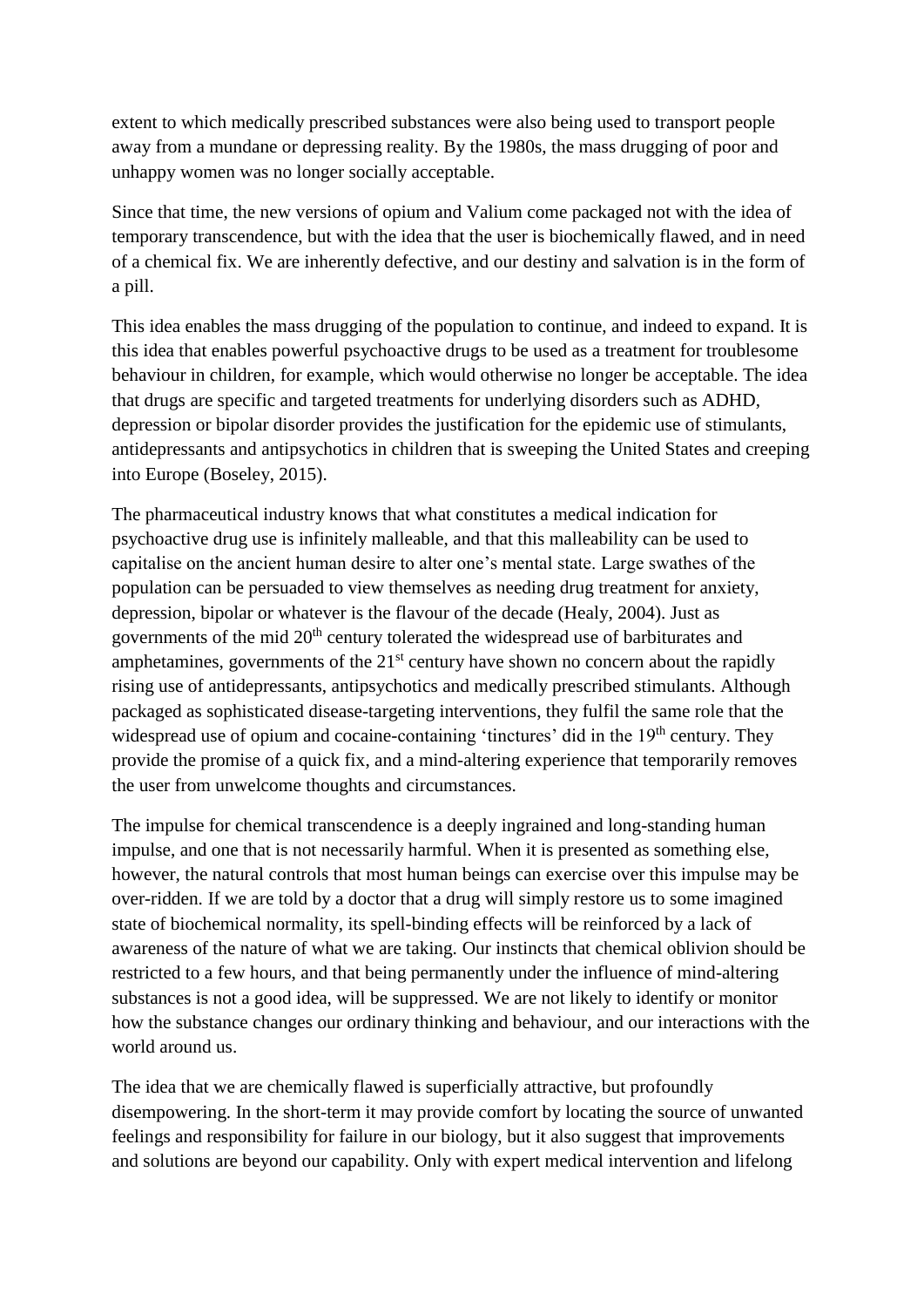extent to which medically prescribed substances were also being used to transport people away from a mundane or depressing reality. By the 1980s, the mass drugging of poor and unhappy women was no longer socially acceptable.

Since that time, the new versions of opium and Valium come packaged not with the idea of temporary transcendence, but with the idea that the user is biochemically flawed, and in need of a chemical fix. We are inherently defective, and our destiny and salvation is in the form of a pill.

This idea enables the mass drugging of the population to continue, and indeed to expand. It is this idea that enables powerful psychoactive drugs to be used as a treatment for troublesome behaviour in children, for example, which would otherwise no longer be acceptable. The idea that drugs are specific and targeted treatments for underlying disorders such as ADHD, depression or bipolar disorder provides the justification for the epidemic use of stimulants, antidepressants and antipsychotics in children that is sweeping the United States and creeping into Europe (Boseley, 2015).

The pharmaceutical industry knows that what constitutes a medical indication for psychoactive drug use is infinitely malleable, and that this malleability can be used to capitalise on the ancient human desire to alter one's mental state. Large swathes of the population can be persuaded to view themselves as needing drug treatment for anxiety, depression, bipolar or whatever is the flavour of the decade (Healy, 2004). Just as governments of the mid 20<sup>th</sup> century tolerated the widespread use of barbiturates and amphetamines, governments of the  $21<sup>st</sup>$  century have shown no concern about the rapidly rising use of antidepressants, antipsychotics and medically prescribed stimulants. Although packaged as sophisticated disease-targeting interventions, they fulfil the same role that the widespread use of opium and cocaine-containing 'tinctures' did in the 19<sup>th</sup> century. They provide the promise of a quick fix, and a mind-altering experience that temporarily removes the user from unwelcome thoughts and circumstances.

The impulse for chemical transcendence is a deeply ingrained and long-standing human impulse, and one that is not necessarily harmful. When it is presented as something else, however, the natural controls that most human beings can exercise over this impulse may be over-ridden. If we are told by a doctor that a drug will simply restore us to some imagined state of biochemical normality, its spell-binding effects will be reinforced by a lack of awareness of the nature of what we are taking. Our instincts that chemical oblivion should be restricted to a few hours, and that being permanently under the influence of mind-altering substances is not a good idea, will be suppressed. We are not likely to identify or monitor how the substance changes our ordinary thinking and behaviour, and our interactions with the world around us.

The idea that we are chemically flawed is superficially attractive, but profoundly disempowering. In the short-term it may provide comfort by locating the source of unwanted feelings and responsibility for failure in our biology, but it also suggest that improvements and solutions are beyond our capability. Only with expert medical intervention and lifelong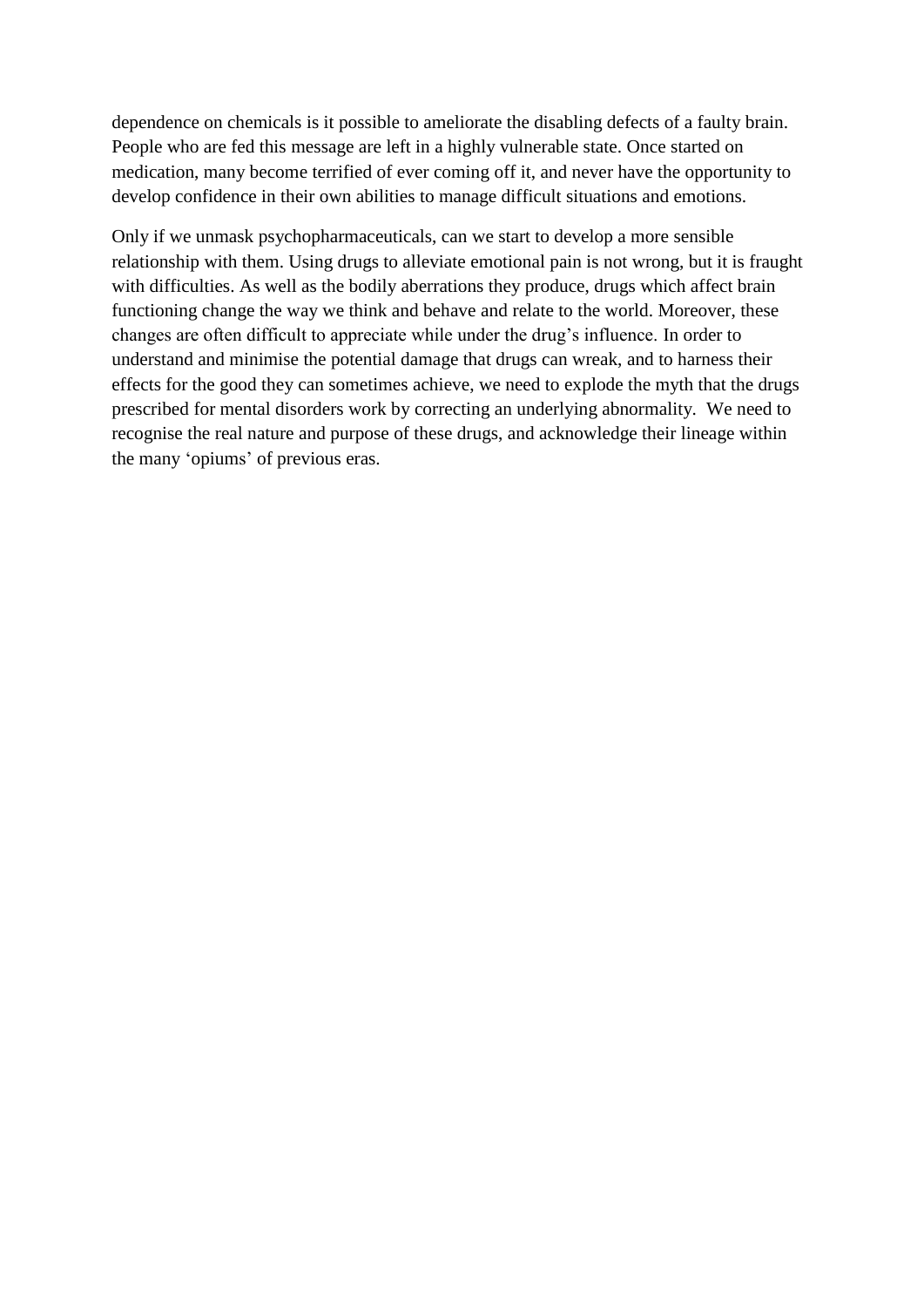dependence on chemicals is it possible to ameliorate the disabling defects of a faulty brain. People who are fed this message are left in a highly vulnerable state. Once started on medication, many become terrified of ever coming off it, and never have the opportunity to develop confidence in their own abilities to manage difficult situations and emotions.

Only if we unmask psychopharmaceuticals, can we start to develop a more sensible relationship with them. Using drugs to alleviate emotional pain is not wrong, but it is fraught with difficulties. As well as the bodily aberrations they produce, drugs which affect brain functioning change the way we think and behave and relate to the world. Moreover, these changes are often difficult to appreciate while under the drug's influence. In order to understand and minimise the potential damage that drugs can wreak, and to harness their effects for the good they can sometimes achieve, we need to explode the myth that the drugs prescribed for mental disorders work by correcting an underlying abnormality. We need to recognise the real nature and purpose of these drugs, and acknowledge their lineage within the many 'opiums' of previous eras.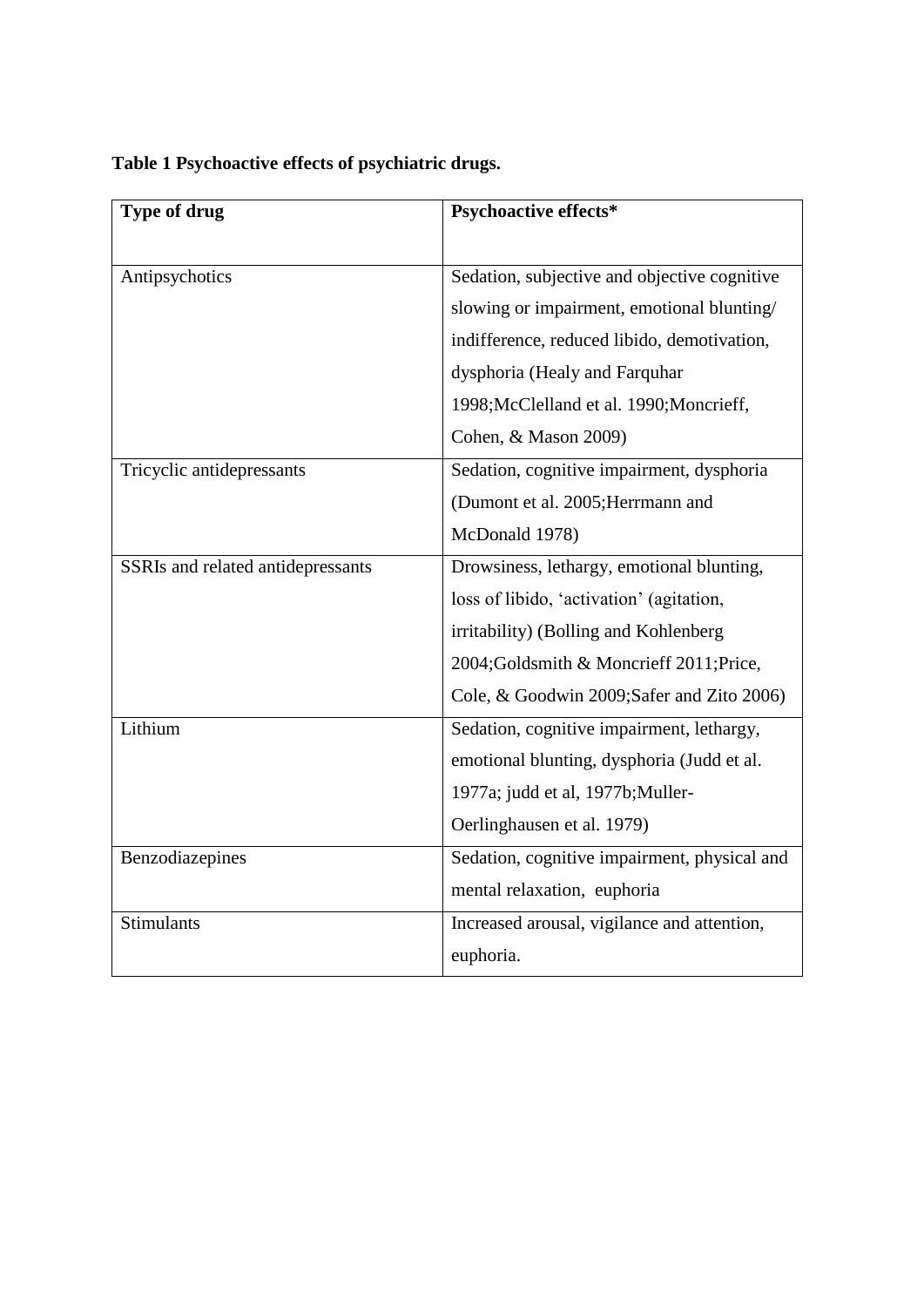| <b>Type of drug</b>               | Psychoactive effects*                        |
|-----------------------------------|----------------------------------------------|
|                                   |                                              |
| Antipsychotics                    | Sedation, subjective and objective cognitive |
|                                   | slowing or impairment, emotional blunting/   |
|                                   | indifference, reduced libido, demotivation,  |
|                                   | dysphoria (Healy and Farquhar                |
|                                   | 1998; McClelland et al. 1990; Moncrieff,     |
|                                   | Cohen, & Mason 2009)                         |
| Tricyclic antidepressants         | Sedation, cognitive impairment, dysphoria    |
|                                   | (Dumont et al. 2005; Herrmann and            |
|                                   | McDonald 1978)                               |
| SSRIs and related antidepressants | Drowsiness, lethargy, emotional blunting,    |
|                                   | loss of libido, 'activation' (agitation,     |
|                                   | irritability) (Bolling and Kohlenberg        |
|                                   | 2004;Goldsmith & Moncrieff 2011;Price,       |
|                                   | Cole, & Goodwin 2009; Safer and Zito 2006)   |
| Lithium                           | Sedation, cognitive impairment, lethargy,    |
|                                   | emotional blunting, dysphoria (Judd et al.   |
|                                   | 1977a; judd et al, 1977b; Muller-            |
|                                   | Oerlinghausen et al. 1979)                   |
| Benzodiazepines                   | Sedation, cognitive impairment, physical and |
|                                   | mental relaxation, euphoria                  |
| <b>Stimulants</b>                 | Increased arousal, vigilance and attention,  |
|                                   | euphoria.                                    |

**Table 1 Psychoactive effects of psychiatric drugs.**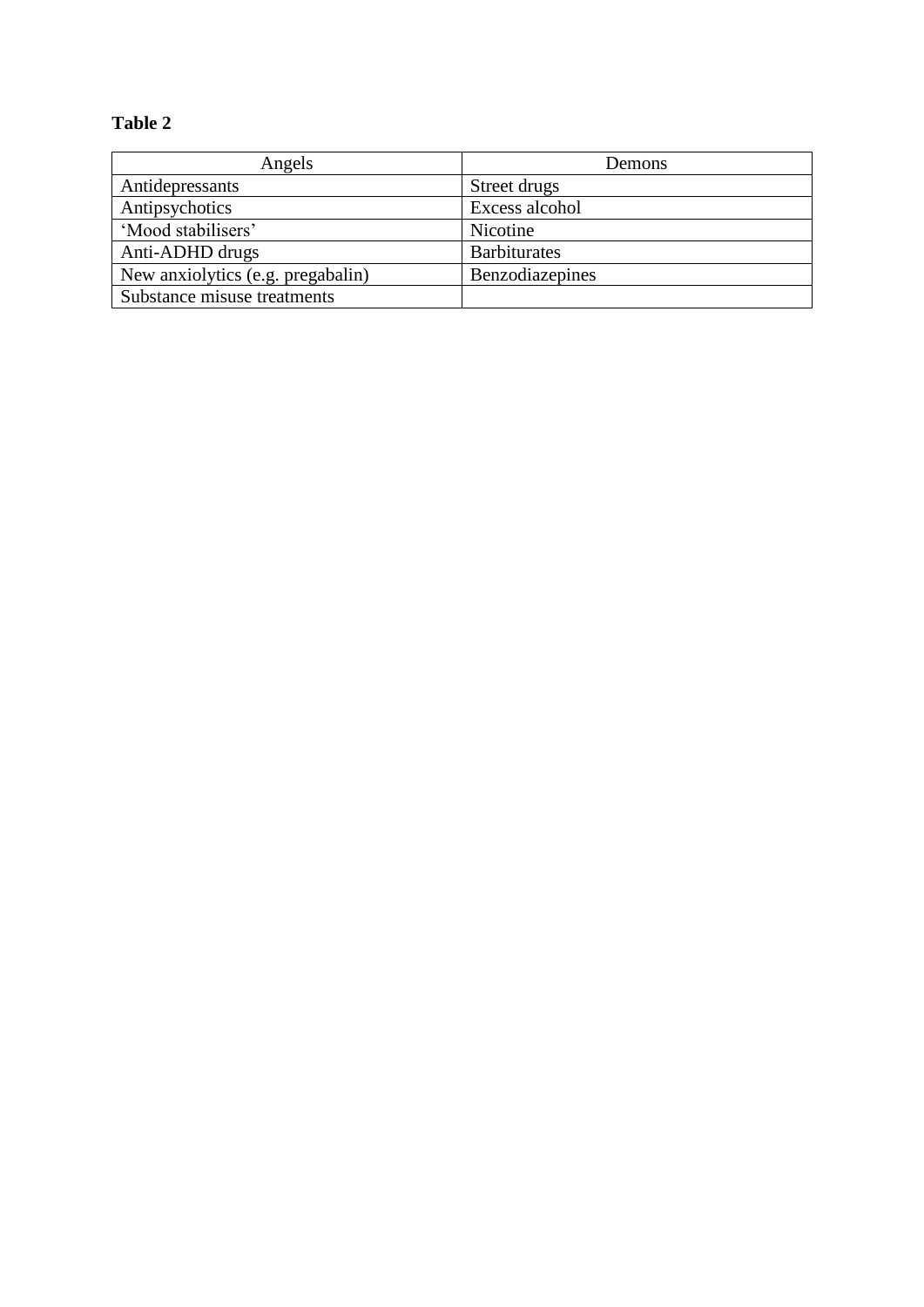# **Table 2**

| Angels                            | Demons              |
|-----------------------------------|---------------------|
| Antidepressants                   | Street drugs        |
| Antipsychotics                    | Excess alcohol      |
| 'Mood stabilisers'                | Nicotine            |
| Anti-ADHD drugs                   | <b>Barbiturates</b> |
| New anxiolytics (e.g. pregabalin) | Benzodiazepines     |
| Substance misuse treatments       |                     |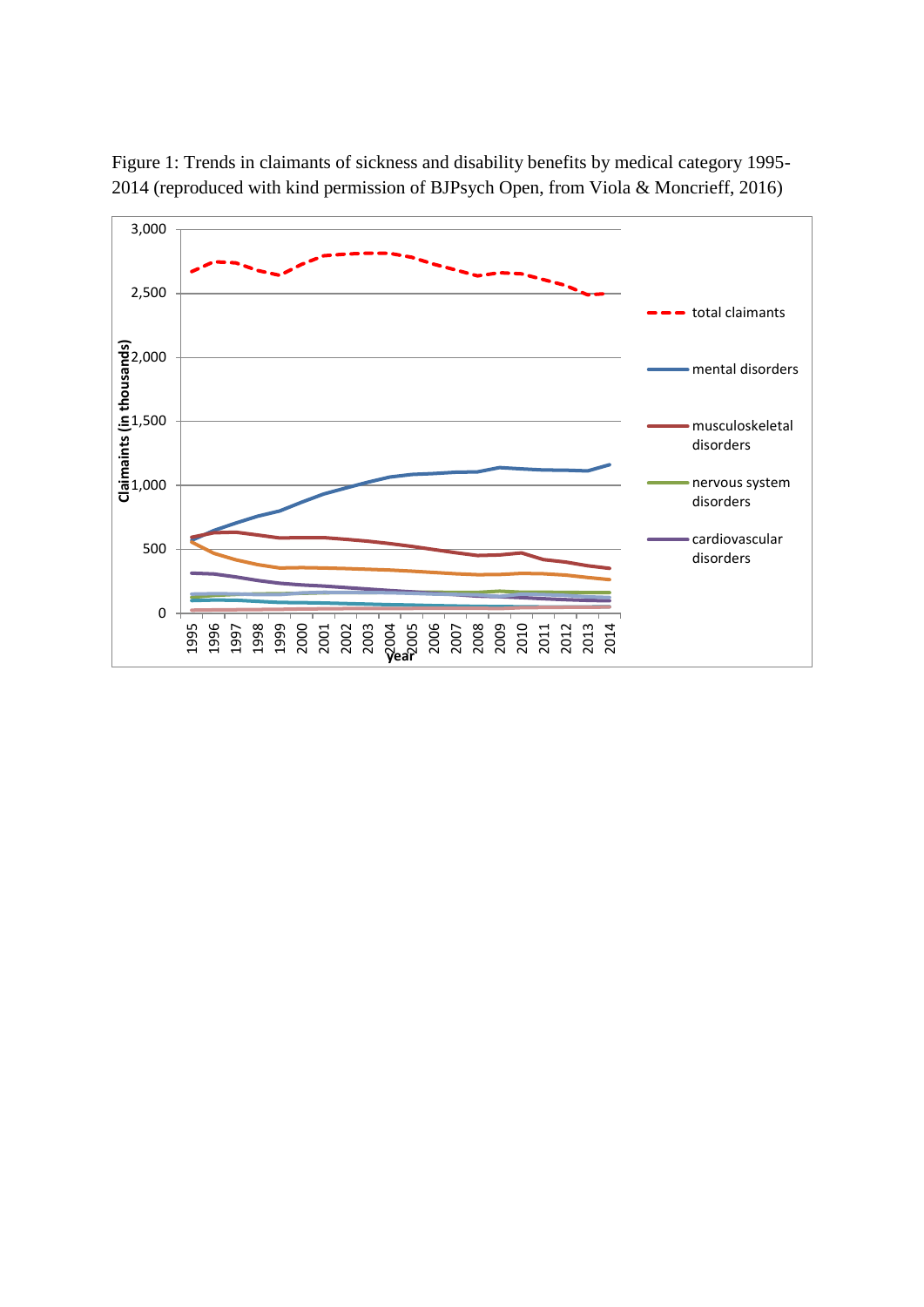

Figure 1: Trends in claimants of sickness and disability benefits by medical category 1995- 2014 (reproduced with kind permission of BJPsych Open, from Viola & Moncrieff, 2016)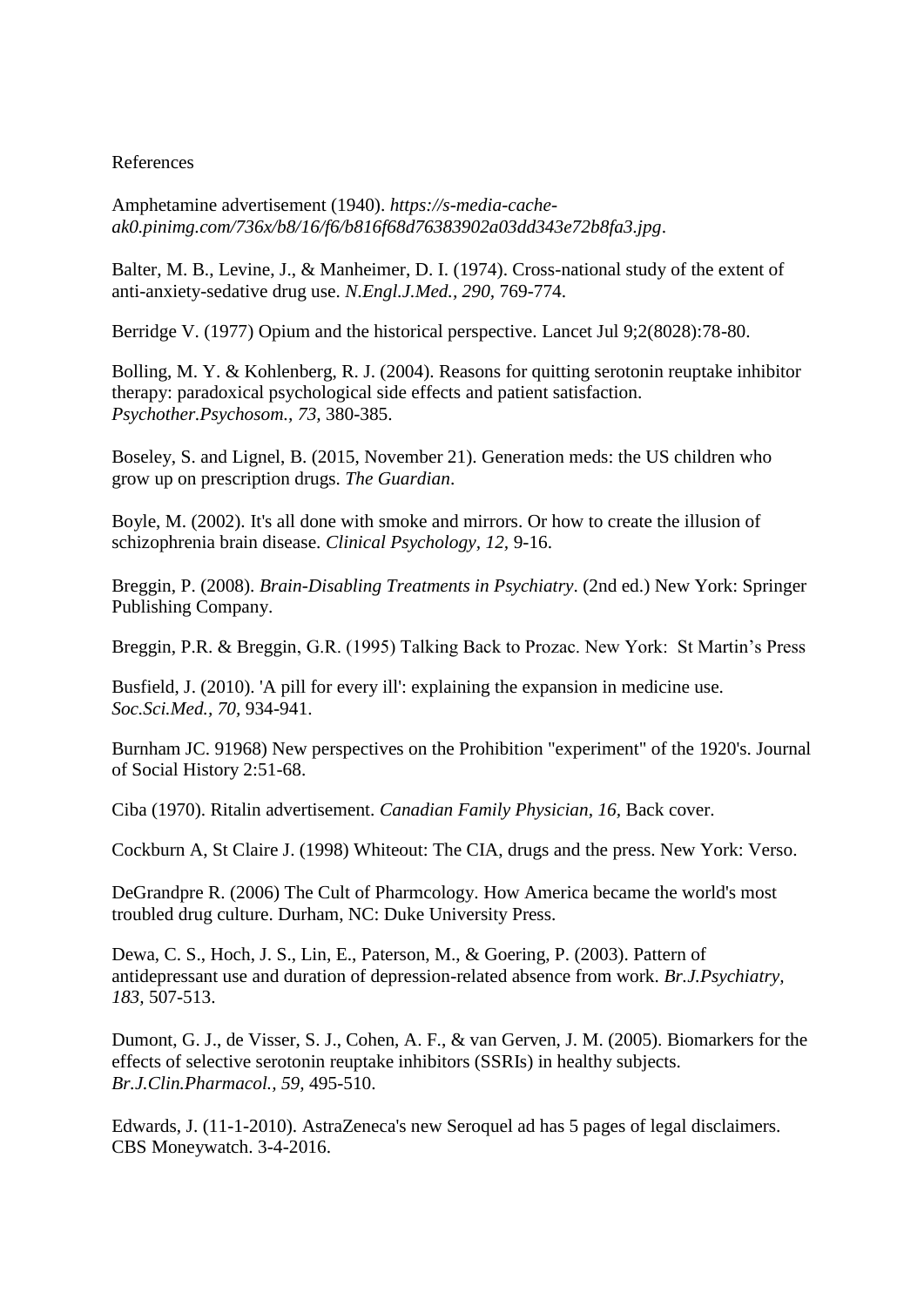#### References

Amphetamine advertisement (1940). *https://s-media-cacheak0.pinimg.com/736x/b8/16/f6/b816f68d76383902a03dd343e72b8fa3.jpg*.

Balter, M. B., Levine, J., & Manheimer, D. I. (1974). Cross-national study of the extent of anti-anxiety-sedative drug use. *N.Engl.J.Med., 290,* 769-774.

Berridge V. (1977) Opium and the historical perspective. Lancet Jul 9;2(8028):78-80.

Bolling, M. Y. & Kohlenberg, R. J. (2004). Reasons for quitting serotonin reuptake inhibitor therapy: paradoxical psychological side effects and patient satisfaction. *Psychother.Psychosom., 73,* 380-385.

Boseley, S. and Lignel, B. (2015, November 21). Generation meds: the US children who grow up on prescription drugs. *The Guardian*.

Boyle, M. (2002). It's all done with smoke and mirrors. Or how to create the illusion of schizophrenia brain disease. *Clinical Psychology, 12,* 9-16.

Breggin, P. (2008). *Brain-Disabling Treatments in Psychiatry*. (2nd ed.) New York: Springer Publishing Company.

Breggin, P.R. & Breggin, G.R. (1995) Talking Back to Prozac. New York: St Martin's Press

Busfield, J. (2010). 'A pill for every ill': explaining the expansion in medicine use. *Soc.Sci.Med., 70,* 934-941.

Burnham JC. 91968) New perspectives on the Prohibition "experiment" of the 1920's. Journal of Social History 2:51-68.

Ciba (1970). Ritalin advertisement. *Canadian Family Physician, 16,* Back cover.

Cockburn A, St Claire J. (1998) Whiteout: The CIA, drugs and the press. New York: Verso.

DeGrandpre R. (2006) The Cult of Pharmcology. How America became the world's most troubled drug culture. Durham, NC: Duke University Press.

Dewa, C. S., Hoch, J. S., Lin, E., Paterson, M., & Goering, P. (2003). Pattern of antidepressant use and duration of depression-related absence from work. *Br.J.Psychiatry, 183,* 507-513.

Dumont, G. J., de Visser, S. J., Cohen, A. F., & van Gerven, J. M. (2005). Biomarkers for the effects of selective serotonin reuptake inhibitors (SSRIs) in healthy subjects. *Br.J.Clin.Pharmacol., 59,* 495-510.

Edwards, J. (11-1-2010). AstraZeneca's new Seroquel ad has 5 pages of legal disclaimers. CBS Moneywatch. 3-4-2016.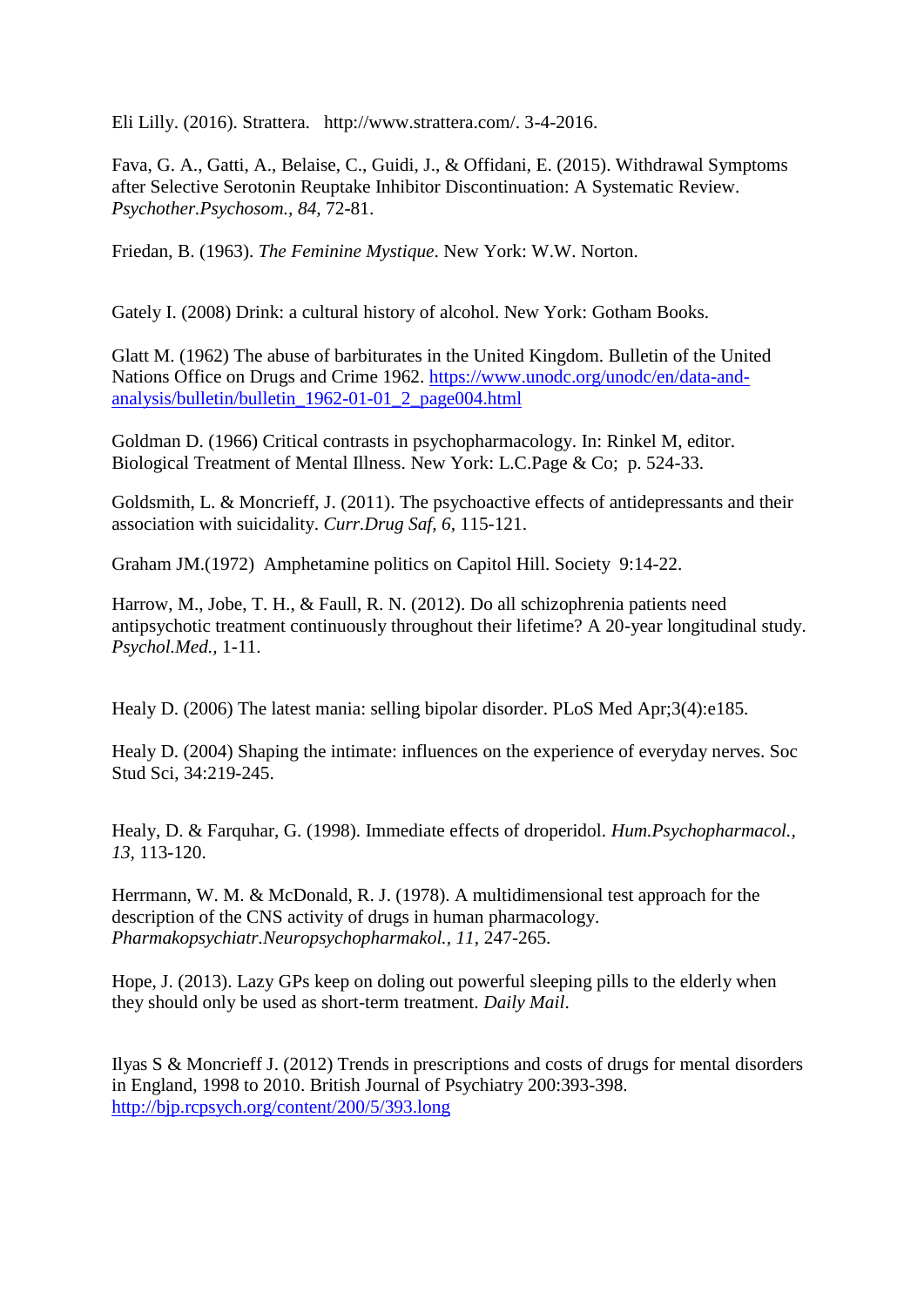Eli Lilly. (2016). Strattera. http://www.strattera.com/. 3-4-2016.

Fava, G. A., Gatti, A., Belaise, C., Guidi, J., & Offidani, E. (2015). Withdrawal Symptoms after Selective Serotonin Reuptake Inhibitor Discontinuation: A Systematic Review. *Psychother.Psychosom., 84,* 72-81.

Friedan, B. (1963). *The Feminine Mystique*. New York: W.W. Norton.

Gately I. (2008) Drink: a cultural history of alcohol. New York: Gotham Books.

Glatt M. (1962) The abuse of barbiturates in the United Kingdom. Bulletin of the United Nations Office on Drugs and Crime 1962. [https://www.unodc.org/unodc/en/data-and](https://www.unodc.org/unodc/en/data-and-analysis/bulletin/bulletin_1962-01-01_2_page004.html)[analysis/bulletin/bulletin\\_1962-01-01\\_2\\_page004.html](https://www.unodc.org/unodc/en/data-and-analysis/bulletin/bulletin_1962-01-01_2_page004.html)

Goldman D. (1966) Critical contrasts in psychopharmacology. In: Rinkel M, editor. Biological Treatment of Mental Illness. New York: L.C.Page & Co; p. 524-33.

Goldsmith, L. & Moncrieff, J. (2011). The psychoactive effects of antidepressants and their association with suicidality. *Curr.Drug Saf, 6,* 115-121.

Graham JM.(1972) Amphetamine politics on Capitol Hill. Society 9:14-22.

Harrow, M., Jobe, T. H., & Faull, R. N. (2012). Do all schizophrenia patients need antipsychotic treatment continuously throughout their lifetime? A 20-year longitudinal study. *Psychol.Med.,* 1-11.

Healy D. (2006) The latest mania: selling bipolar disorder. PLoS Med Apr;3(4):e185.

Healy D. (2004) Shaping the intimate: influences on the experience of everyday nerves. Soc Stud Sci, 34:219-245.

Healy, D. & Farquhar, G. (1998). Immediate effects of droperidol. *Hum.Psychopharmacol., 13,* 113-120.

Herrmann, W. M. & McDonald, R. J. (1978). A multidimensional test approach for the description of the CNS activity of drugs in human pharmacology. *Pharmakopsychiatr.Neuropsychopharmakol., 11,* 247-265.

Hope, J. (2013). Lazy GPs keep on doling out powerful sleeping pills to the elderly when they should only be used as short-term treatment. *Daily Mail*.

Ilyas S & Moncrieff J. (2012) Trends in prescriptions and costs of drugs for mental disorders in England, 1998 to 2010. British Journal of Psychiatry 200:393-398. <http://bjp.rcpsych.org/content/200/5/393.long>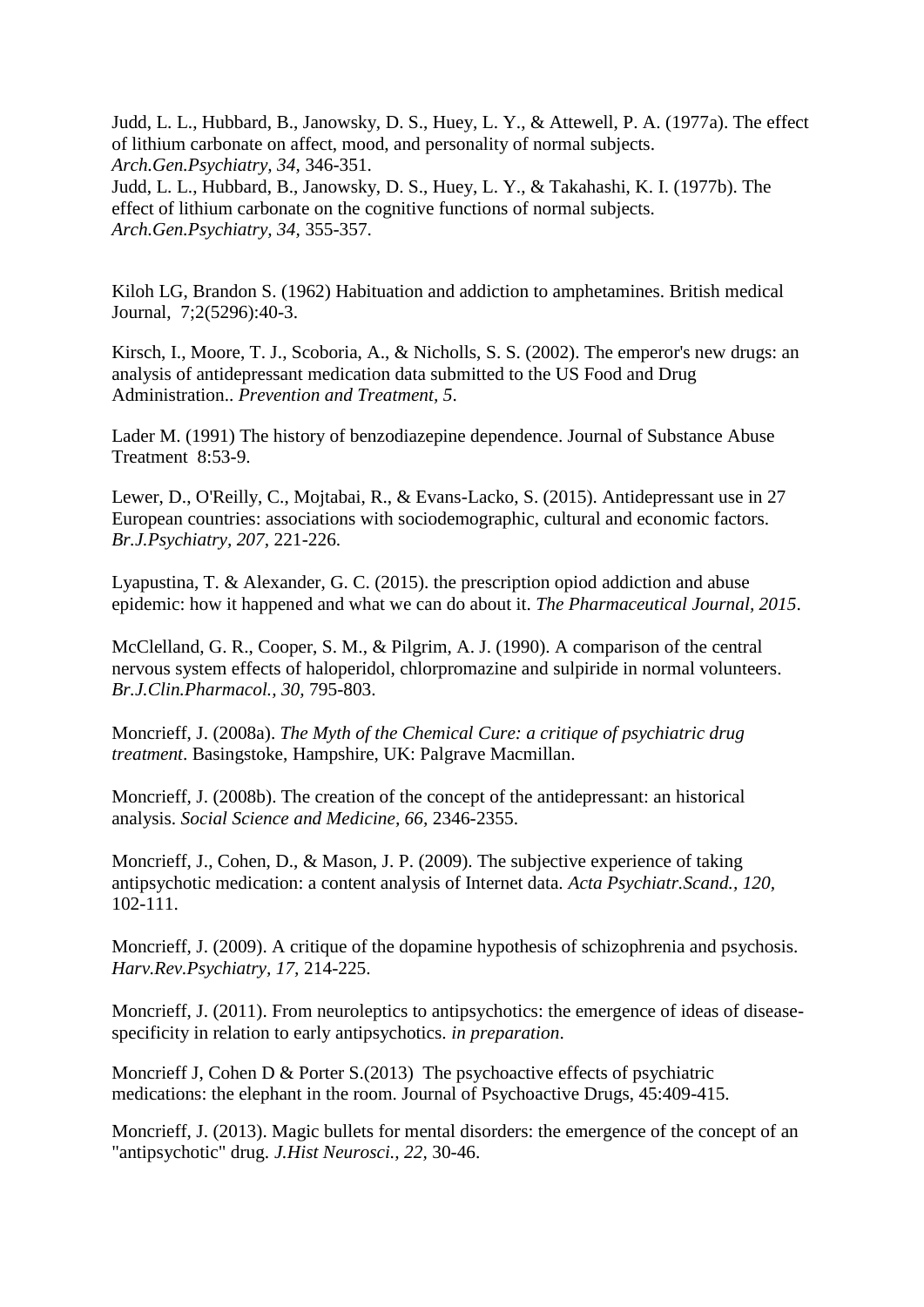Judd, L. L., Hubbard, B., Janowsky, D. S., Huey, L. Y., & Attewell, P. A. (1977a). The effect of lithium carbonate on affect, mood, and personality of normal subjects. *Arch.Gen.Psychiatry, 34,* 346-351. Judd, L. L., Hubbard, B., Janowsky, D. S., Huey, L. Y., & Takahashi, K. I. (1977b). The effect of lithium carbonate on the cognitive functions of normal subjects. *Arch.Gen.Psychiatry, 34,* 355-357.

Kiloh LG, Brandon S. (1962) Habituation and addiction to amphetamines. British medical Journal, 7;2(5296):40-3.

Kirsch, I., Moore, T. J., Scoboria, A., & Nicholls, S. S. (2002). The emperor's new drugs: an analysis of antidepressant medication data submitted to the US Food and Drug Administration.. *Prevention and Treatment, 5*.

Lader M. (1991) The history of benzodiazepine dependence. Journal of Substance Abuse Treatment 8:53-9.

Lewer, D., O'Reilly, C., Mojtabai, R., & Evans-Lacko, S. (2015). Antidepressant use in 27 European countries: associations with sociodemographic, cultural and economic factors. *Br.J.Psychiatry, 207,* 221-226.

Lyapustina, T. & Alexander, G. C. (2015). the prescription opiod addiction and abuse epidemic: how it happened and what we can do about it. *The Pharmaceutical Journal, 2015*.

McClelland, G. R., Cooper, S. M., & Pilgrim, A. J. (1990). A comparison of the central nervous system effects of haloperidol, chlorpromazine and sulpiride in normal volunteers. *Br.J.Clin.Pharmacol., 30,* 795-803.

Moncrieff, J. (2008a). *The Myth of the Chemical Cure: a critique of psychiatric drug treatment*. Basingstoke, Hampshire, UK: Palgrave Macmillan.

Moncrieff, J. (2008b). The creation of the concept of the antidepressant: an historical analysis. *Social Science and Medicine, 66,* 2346-2355.

Moncrieff, J., Cohen, D., & Mason, J. P. (2009). The subjective experience of taking antipsychotic medication: a content analysis of Internet data. *Acta Psychiatr.Scand., 120,* 102-111.

Moncrieff, J. (2009). A critique of the dopamine hypothesis of schizophrenia and psychosis. *Harv.Rev.Psychiatry, 17,* 214-225.

Moncrieff, J. (2011). From neuroleptics to antipsychotics: the emergence of ideas of diseasespecificity in relation to early antipsychotics. *in preparation*.

Moncrieff J, Cohen D & Porter S.(2013) The psychoactive effects of psychiatric medications: the elephant in the room. Journal of Psychoactive Drugs, 45:409-415.

Moncrieff, J. (2013). Magic bullets for mental disorders: the emergence of the concept of an "antipsychotic" drug. *J.Hist Neurosci., 22,* 30-46.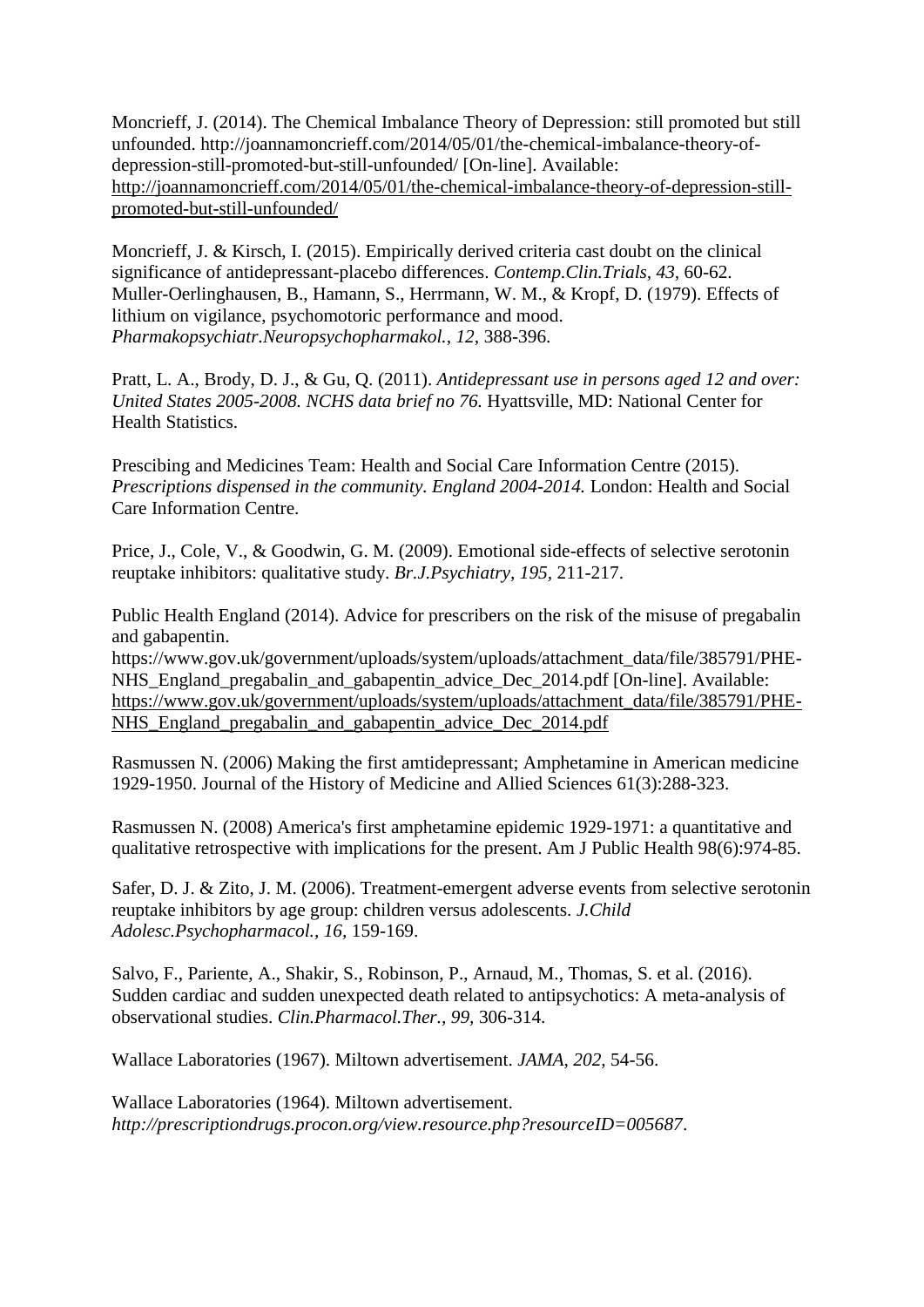Moncrieff, J. (2014). The Chemical Imbalance Theory of Depression: still promoted but still unfounded. http://joannamoncrieff.com/2014/05/01/the-chemical-imbalance-theory-ofdepression-still-promoted-but-still-unfounded/ [On-line]. Available: http://joannamoncrieff.com/2014/05/01/the-chemical-imbalance-theory-of-depression-stillpromoted-but-still-unfounded/

Moncrieff, J. & Kirsch, I. (2015). Empirically derived criteria cast doubt on the clinical significance of antidepressant-placebo differences. *Contemp.Clin.Trials, 43,* 60-62. Muller-Oerlinghausen, B., Hamann, S., Herrmann, W. M., & Kropf, D. (1979). Effects of lithium on vigilance, psychomotoric performance and mood. *Pharmakopsychiatr.Neuropsychopharmakol., 12,* 388-396.

Pratt, L. A., Brody, D. J., & Gu, Q. (2011). *Antidepressant use in persons aged 12 and over: United States 2005-2008. NCHS data brief no 76.* Hyattsville, MD: National Center for Health Statistics.

Prescibing and Medicines Team: Health and Social Care Information Centre (2015). *Prescriptions dispensed in the community. England 2004-2014.* London: Health and Social Care Information Centre.

Price, J., Cole, V., & Goodwin, G. M. (2009). Emotional side-effects of selective serotonin reuptake inhibitors: qualitative study. *Br.J.Psychiatry, 195,* 211-217.

Public Health England (2014). Advice for prescribers on the risk of the misuse of pregabalin and gabapentin.

https://www.gov.uk/government/uploads/system/uploads/attachment\_data/file/385791/PHE-NHS England pregabalin and gabapentin advice Dec 2014.pdf [On-line]. Available: https://www.gov.uk/government/uploads/system/uploads/attachment\_data/file/385791/PHE-NHS England pregabalin and gabapentin advice Dec 2014.pdf

Rasmussen N. (2006) Making the first amtidepressant; Amphetamine in American medicine 1929-1950. Journal of the History of Medicine and Allied Sciences 61(3):288-323.

Rasmussen N. (2008) America's first amphetamine epidemic 1929-1971: a quantitative and qualitative retrospective with implications for the present. Am J Public Health 98(6):974-85.

Safer, D. J. & Zito, J. M. (2006). Treatment-emergent adverse events from selective serotonin reuptake inhibitors by age group: children versus adolescents. *J.Child Adolesc.Psychopharmacol., 16,* 159-169.

Salvo, F., Pariente, A., Shakir, S., Robinson, P., Arnaud, M., Thomas, S. et al. (2016). Sudden cardiac and sudden unexpected death related to antipsychotics: A meta-analysis of observational studies. *Clin.Pharmacol.Ther., 99,* 306-314.

Wallace Laboratories (1967). Miltown advertisement. *JAMA, 202,* 54-56.

Wallace Laboratories (1964). Miltown advertisement. *http://prescriptiondrugs.procon.org/view.resource.php?resourceID=005687*.